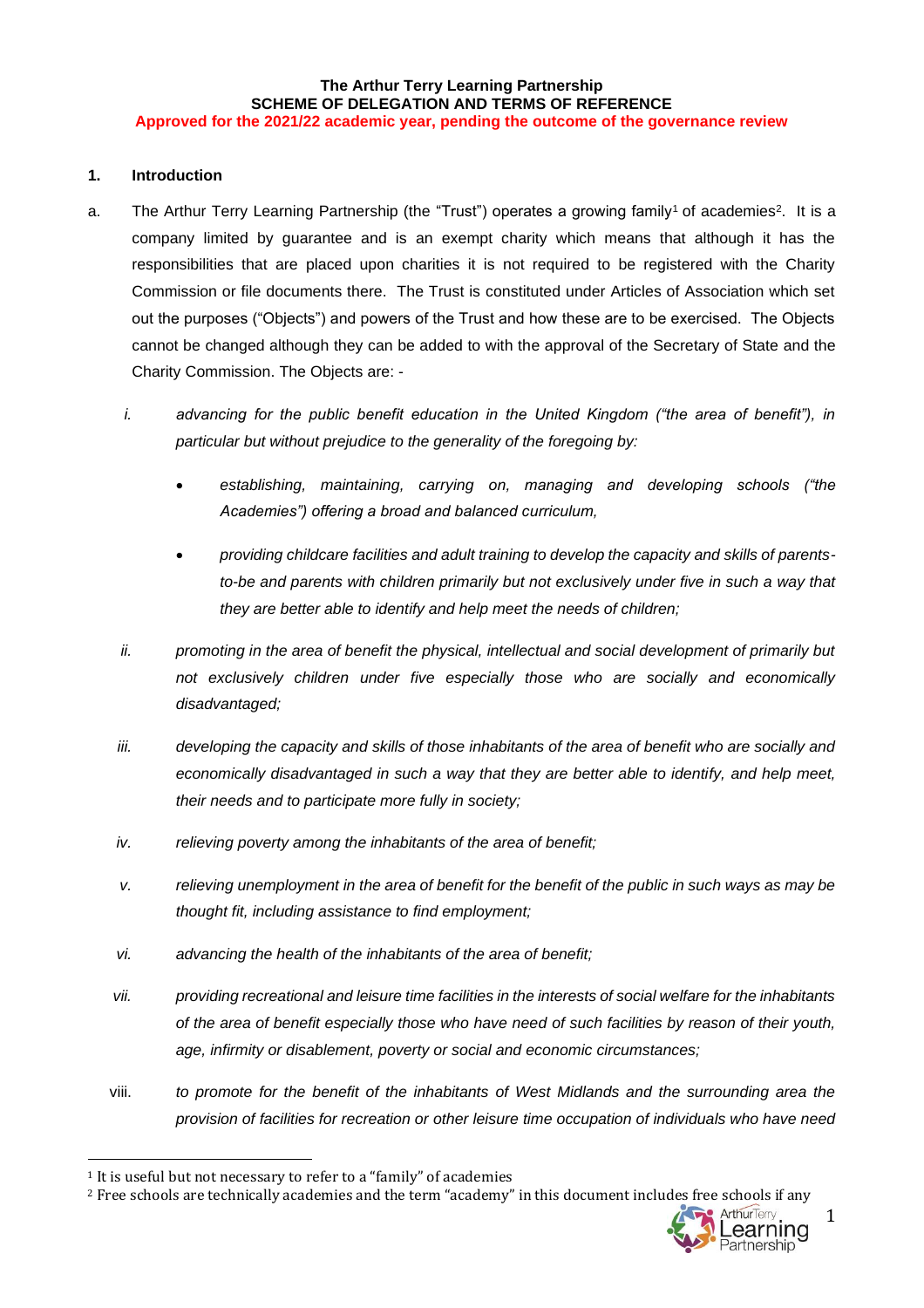### **The Arthur Terry Learning Partnership SCHEME OF DELEGATION AND TERMS OF REFERENCE Approved for the 2021/22 academic year, pending the outcome of the governance review**

## **1. Introduction**

- a. The Arthur Terry Learning Partnership (the "Trust") operates a growing family<sup>1</sup> of academies<sup>2</sup>. It is a company limited by guarantee and is an exempt charity which means that although it has the responsibilities that are placed upon charities it is not required to be registered with the Charity Commission or file documents there. The Trust is constituted under Articles of Association which set out the purposes ("Objects") and powers of the Trust and how these are to be exercised. The Objects cannot be changed although they can be added to with the approval of the Secretary of State and the Charity Commission. The Objects are:
	- *i. advancing for the public benefit education in the United Kingdom ("the area of benefit"), in particular but without prejudice to the generality of the foregoing by:*
		- *establishing, maintaining, carrying on, managing and developing schools ("the Academies") offering a broad and balanced curriculum,*
		- *providing childcare facilities and adult training to develop the capacity and skills of parentsto-be and parents with children primarily but not exclusively under five in such a way that they are better able to identify and help meet the needs of children;*
	- *ii. promoting in the area of benefit the physical, intellectual and social development of primarily but not exclusively children under five especially those who are socially and economically disadvantaged;*
	- *iii. developing the capacity and skills of those inhabitants of the area of benefit who are socially and economically disadvantaged in such a way that they are better able to identify, and help meet, their needs and to participate more fully in society;*
	- *iv. relieving poverty among the inhabitants of the area of benefit;*
	- *v. relieving unemployment in the area of benefit for the benefit of the public in such ways as may be thought fit, including assistance to find employment;*
	- *vi. advancing the health of the inhabitants of the area of benefit;*
	- *vii. providing recreational and leisure time facilities in the interests of social welfare for the inhabitants of the area of benefit especially those who have need of such facilities by reason of their youth, age, infirmity or disablement, poverty or social and economic circumstances;*
	- viii. *to promote for the benefit of the inhabitants of West Midlands and the surrounding area the provision of facilities for recreation or other leisure time occupation of individuals who have need*

<sup>2</sup> Free schools are technically academies and the term "academy" in this document includes free schools if any



<sup>&</sup>lt;sup>1</sup> It is useful but not necessary to refer to a "family" of academies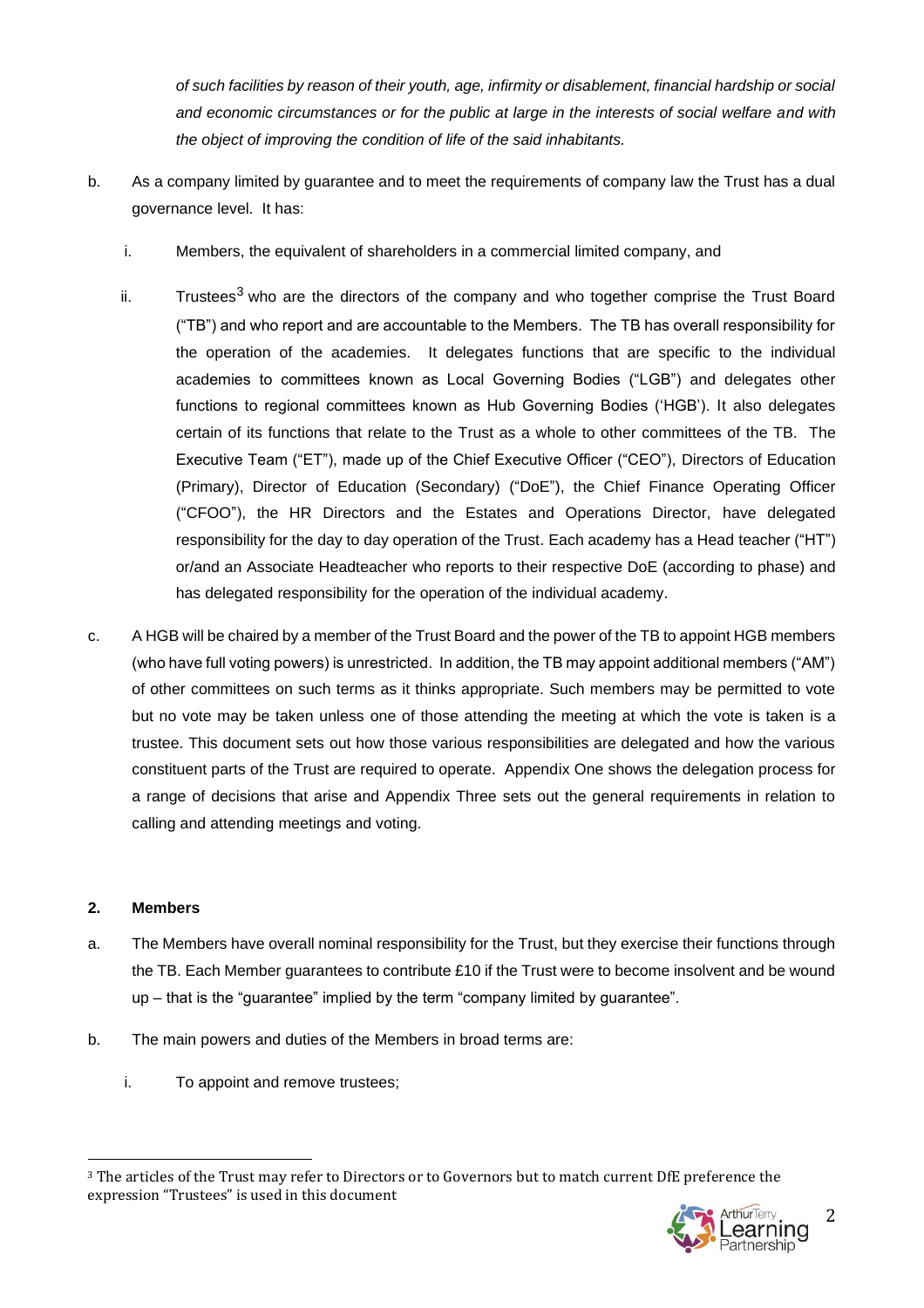*of such facilities by reason of their youth, age, infirmity or disablement, financial hardship or social and economic circumstances or for the public at large in the interests of social welfare and with the object of improving the condition of life of the said inhabitants.*

- b. As a company limited by guarantee and to meet the requirements of company law the Trust has a dual governance level. It has:
	- i. Members, the equivalent of shareholders in a commercial limited company, and
	- ii. Trustees<sup>3</sup> who are the directors of the company and who together comprise the Trust Board ("TB") and who report and are accountable to the Members. The TB has overall responsibility for the operation of the academies. It delegates functions that are specific to the individual academies to committees known as Local Governing Bodies ("LGB") and delegates other functions to regional committees known as Hub Governing Bodies ('HGB'). It also delegates certain of its functions that relate to the Trust as a whole to other committees of the TB. The Executive Team ("ET"), made up of the Chief Executive Officer ("CEO"), Directors of Education (Primary), Director of Education (Secondary) ("DoE"), the Chief Finance Operating Officer ("CFOO"), the HR Directors and the Estates and Operations Director, have delegated responsibility for the day to day operation of the Trust. Each academy has a Head teacher ("HT") or/and an Associate Headteacher who reports to their respective DoE (according to phase) and has delegated responsibility for the operation of the individual academy.
- c. A HGB will be chaired by a member of the Trust Board and the power of the TB to appoint HGB members (who have full voting powers) is unrestricted. In addition, the TB may appoint additional members ("AM") of other committees on such terms as it thinks appropriate. Such members may be permitted to vote but no vote may be taken unless one of those attending the meeting at which the vote is taken is a trustee. This document sets out how those various responsibilities are delegated and how the various constituent parts of the Trust are required to operate. Appendix One shows the delegation process for a range of decisions that arise and Appendix Three sets out the general requirements in relation to calling and attending meetings and voting.

# **2. Members**

- a. The Members have overall nominal responsibility for the Trust, but they exercise their functions through the TB. Each Member guarantees to contribute £10 if the Trust were to become insolvent and be wound up – that is the "guarantee" implied by the term "company limited by guarantee".
- b. The main powers and duties of the Members in broad terms are:
	- i. To appoint and remove trustees;

<sup>3</sup> The articles of the Trust may refer to Directors or to Governors but to match current DfE preference the expression "Trustees" is used in this document

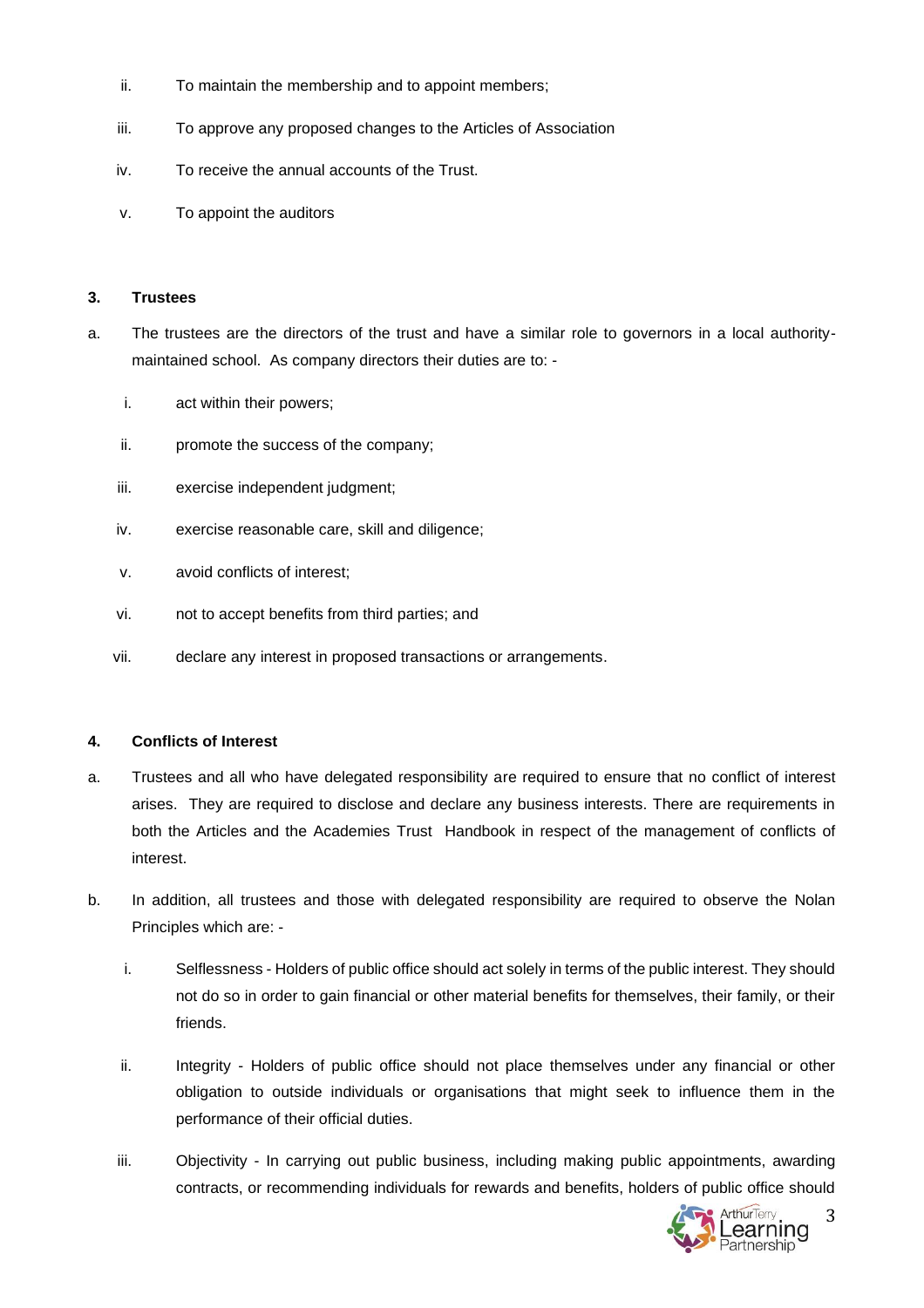- ii. To maintain the membership and to appoint members;
- iii. To approve any proposed changes to the Articles of Association
- iv. To receive the annual accounts of the Trust.
- v. To appoint the auditors

### **3. Trustees**

- a. The trustees are the directors of the trust and have a similar role to governors in a local authoritymaintained school. As company directors their duties are to:
	- i. act within their powers;
	- ii. promote the success of the company;
	- iii. exercise independent judgment;
	- iv. exercise reasonable care, skill and diligence;
	- v. avoid conflicts of interest;
	- vi. not to accept benefits from third parties; and
	- vii. declare any interest in proposed transactions or arrangements.

## **4. Conflicts of Interest**

- a. Trustees and all who have delegated responsibility are required to ensure that no conflict of interest arises. They are required to disclose and declare any business interests. There are requirements in both the Articles and the Academies Trust Handbook in respect of the management of conflicts of interest.
- b. In addition, all trustees and those with delegated responsibility are required to observe the Nolan Principles which are:
	- i. Selflessness Holders of public office should act solely in terms of the public interest. They should not do so in order to gain financial or other material benefits for themselves, their family, or their friends.
	- ii. Integrity Holders of public office should not place themselves under any financial or other obligation to outside individuals or organisations that might seek to influence them in the performance of their official duties.
	- iii. Objectivity In carrying out public business, including making public appointments, awarding contracts, or recommending individuals for rewards and benefits, holders of public office should

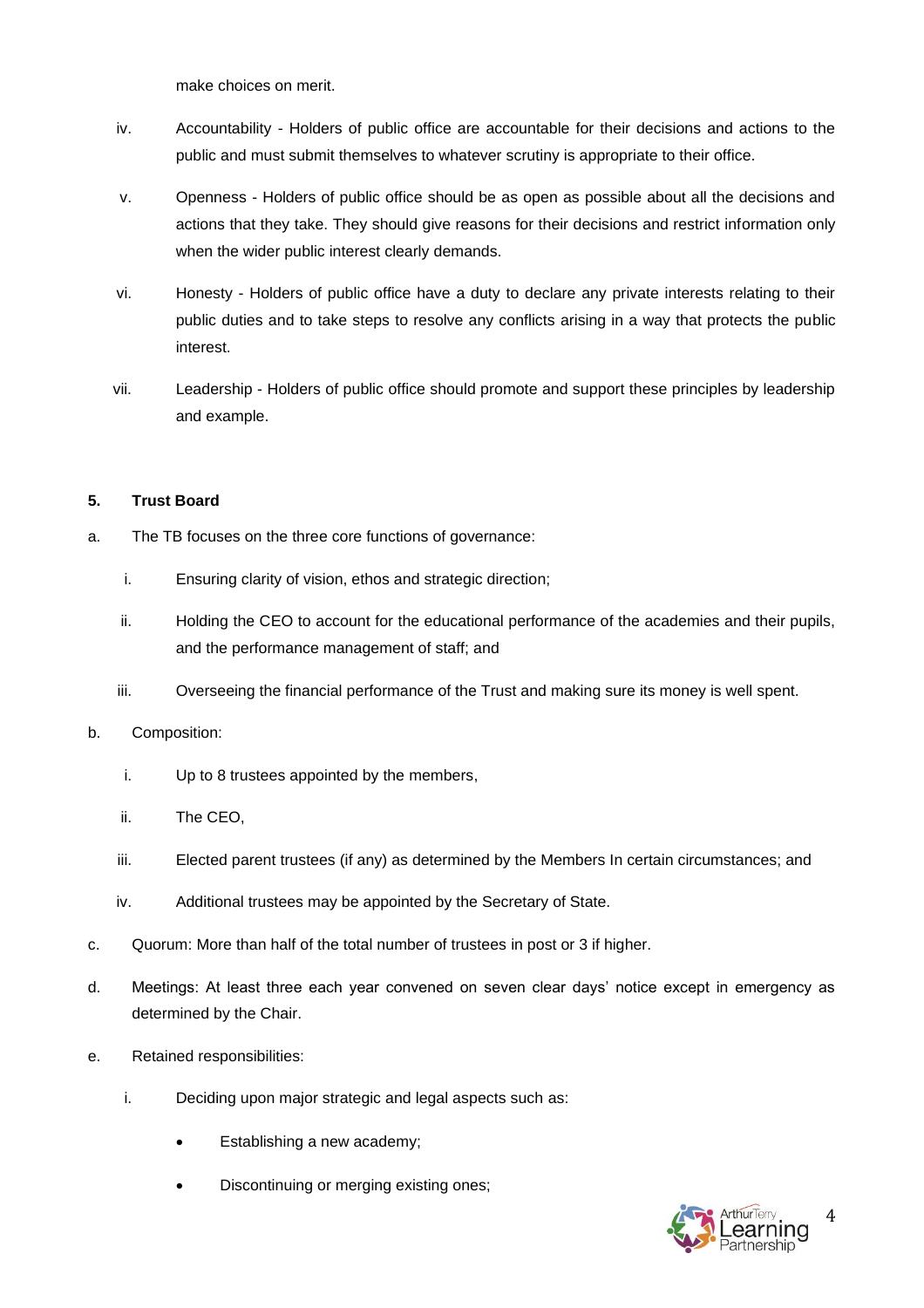make choices on merit.

- iv. Accountability Holders of public office are accountable for their decisions and actions to the public and must submit themselves to whatever scrutiny is appropriate to their office.
- v. Openness Holders of public office should be as open as possible about all the decisions and actions that they take. They should give reasons for their decisions and restrict information only when the wider public interest clearly demands.
- vi. Honesty Holders of public office have a duty to declare any private interests relating to their public duties and to take steps to resolve any conflicts arising in a way that protects the public interest.
- vii. Leadership Holders of public office should promote and support these principles by leadership and example.

# **5. Trust Board**

- a. The TB focuses on the three core functions of governance:
	- i. Ensuring clarity of vision, ethos and strategic direction;
	- ii. Holding the CEO to account for the educational performance of the academies and their pupils, and the performance management of staff; and
	- iii. Overseeing the financial performance of the Trust and making sure its money is well spent.
- b. Composition:
	- i. Up to 8 trustees appointed by the members,
	- ii. The CEO,
	- iii. Elected parent trustees (if any) as determined by the Members In certain circumstances; and
	- iv. Additional trustees may be appointed by the Secretary of State.
- c. Quorum: More than half of the total number of trustees in post or 3 if higher.
- d. Meetings: At least three each year convened on seven clear days' notice except in emergency as determined by the Chair.
- e. Retained responsibilities:
	- i. Deciding upon major strategic and legal aspects such as:
		- Establishing a new academy;
		- Discontinuing or merging existing ones;

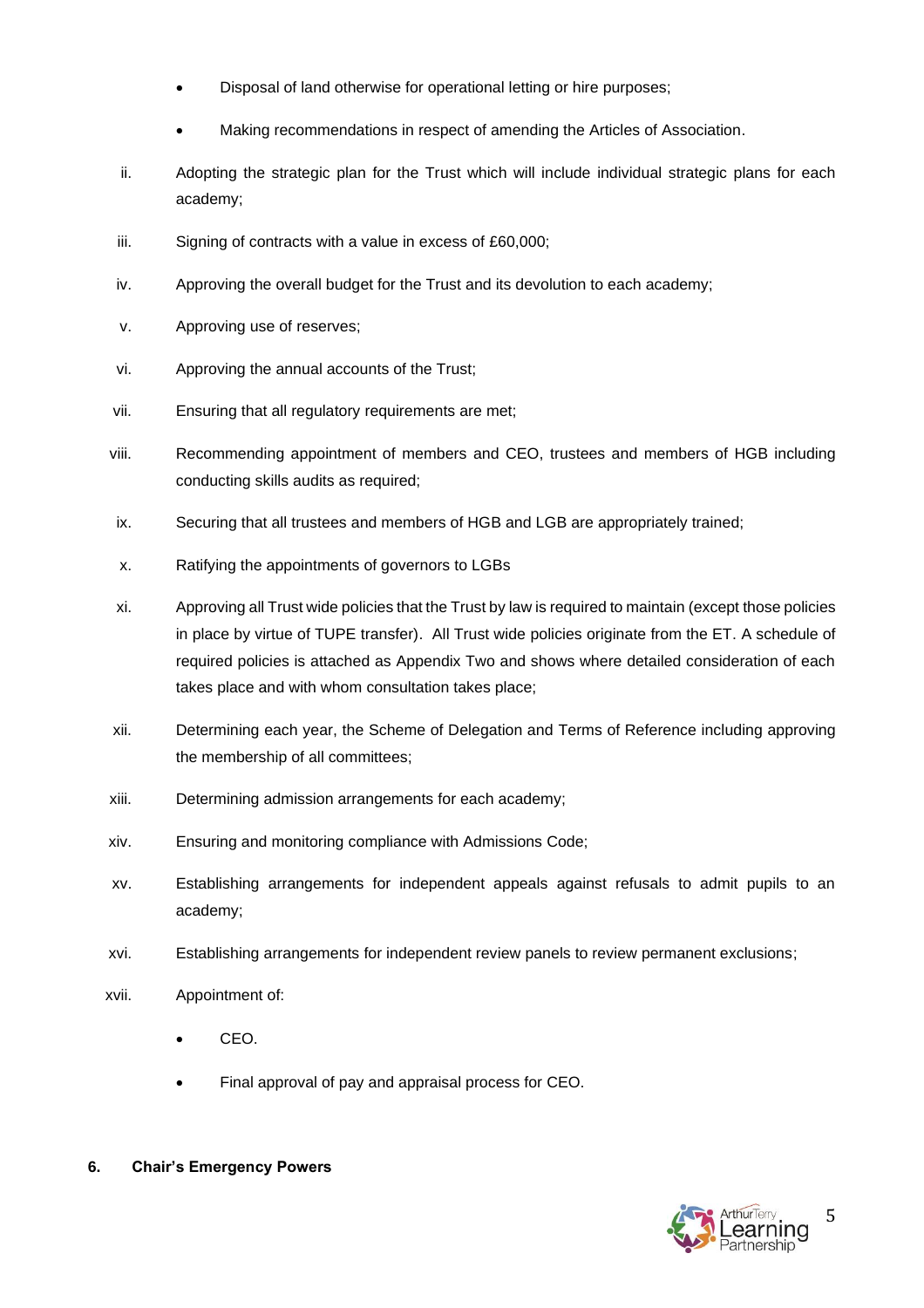- Disposal of land otherwise for operational letting or hire purposes;
- Making recommendations in respect of amending the Articles of Association.
- ii. Adopting the strategic plan for the Trust which will include individual strategic plans for each academy;
- iii. Signing of contracts with a value in excess of £60,000;
- iv. Approving the overall budget for the Trust and its devolution to each academy;
- v. Approving use of reserves;
- vi. Approving the annual accounts of the Trust;
- vii. Ensuring that all regulatory requirements are met;
- viii. Recommending appointment of members and CEO, trustees and members of HGB including conducting skills audits as required;
- ix. Securing that all trustees and members of HGB and LGB are appropriately trained;
- x. Ratifying the appointments of governors to LGBs
- xi. Approving all Trust wide policies that the Trust by law is required to maintain (except those policies in place by virtue of TUPE transfer). All Trust wide policies originate from the ET. A schedule of required policies is attached as Appendix Two and shows where detailed consideration of each takes place and with whom consultation takes place;
- xii. Determining each year, the Scheme of Delegation and Terms of Reference including approving the membership of all committees;
- xiii. Determining admission arrangements for each academy;
- xiv. Ensuring and monitoring compliance with Admissions Code;
- xv. Establishing arrangements for independent appeals against refusals to admit pupils to an academy;
- xvi. Establishing arrangements for independent review panels to review permanent exclusions;
- xvii. Appointment of:
	- CEO.
	- Final approval of pay and appraisal process for CEO.
- **6. Chair's Emergency Powers**

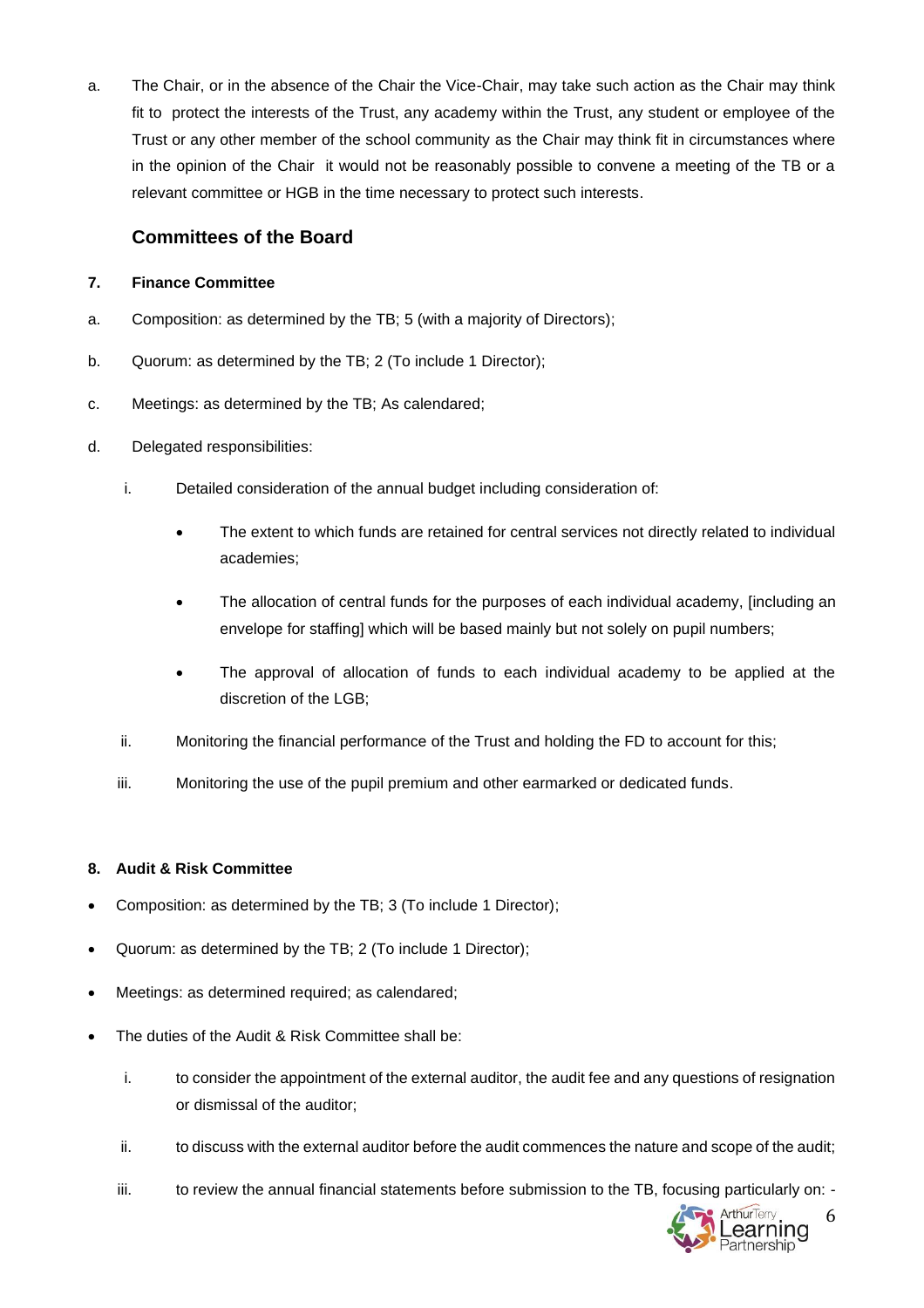a. The Chair, or in the absence of the Chair the Vice-Chair, may take such action as the Chair may think fit to protect the interests of the Trust, any academy within the Trust, any student or employee of the Trust or any other member of the school community as the Chair may think fit in circumstances where in the opinion of the Chair it would not be reasonably possible to convene a meeting of the TB or a relevant committee or HGB in the time necessary to protect such interests.

# **Committees of the Board**

# **7. Finance Committee**

- a. Composition: as determined by the TB; 5 (with a majority of Directors);
- b. Quorum: as determined by the TB; 2 (To include 1 Director);
- c. Meetings: as determined by the TB; As calendared;
- d. Delegated responsibilities:
	- i. Detailed consideration of the annual budget including consideration of:
		- The extent to which funds are retained for central services not directly related to individual academies;
		- The allocation of central funds for the purposes of each individual academy, [including an envelope for staffing] which will be based mainly but not solely on pupil numbers;
		- The approval of allocation of funds to each individual academy to be applied at the discretion of the LGB;
	- ii. Monitoring the financial performance of the Trust and holding the FD to account for this;
	- iii. Monitoring the use of the pupil premium and other earmarked or dedicated funds.

## **8. Audit & Risk Committee**

- Composition: as determined by the TB; 3 (To include 1 Director);
- Quorum: as determined by the TB; 2 (To include 1 Director);
- Meetings: as determined required; as calendared;
- The duties of the Audit & Risk Committee shall be:
	- i. to consider the appointment of the external auditor, the audit fee and any questions of resignation or dismissal of the auditor;
	- ii. to discuss with the external auditor before the audit commences the nature and scope of the audit;
	- iii. to review the annual financial statements before submission to the TB, focusing particularly on: -

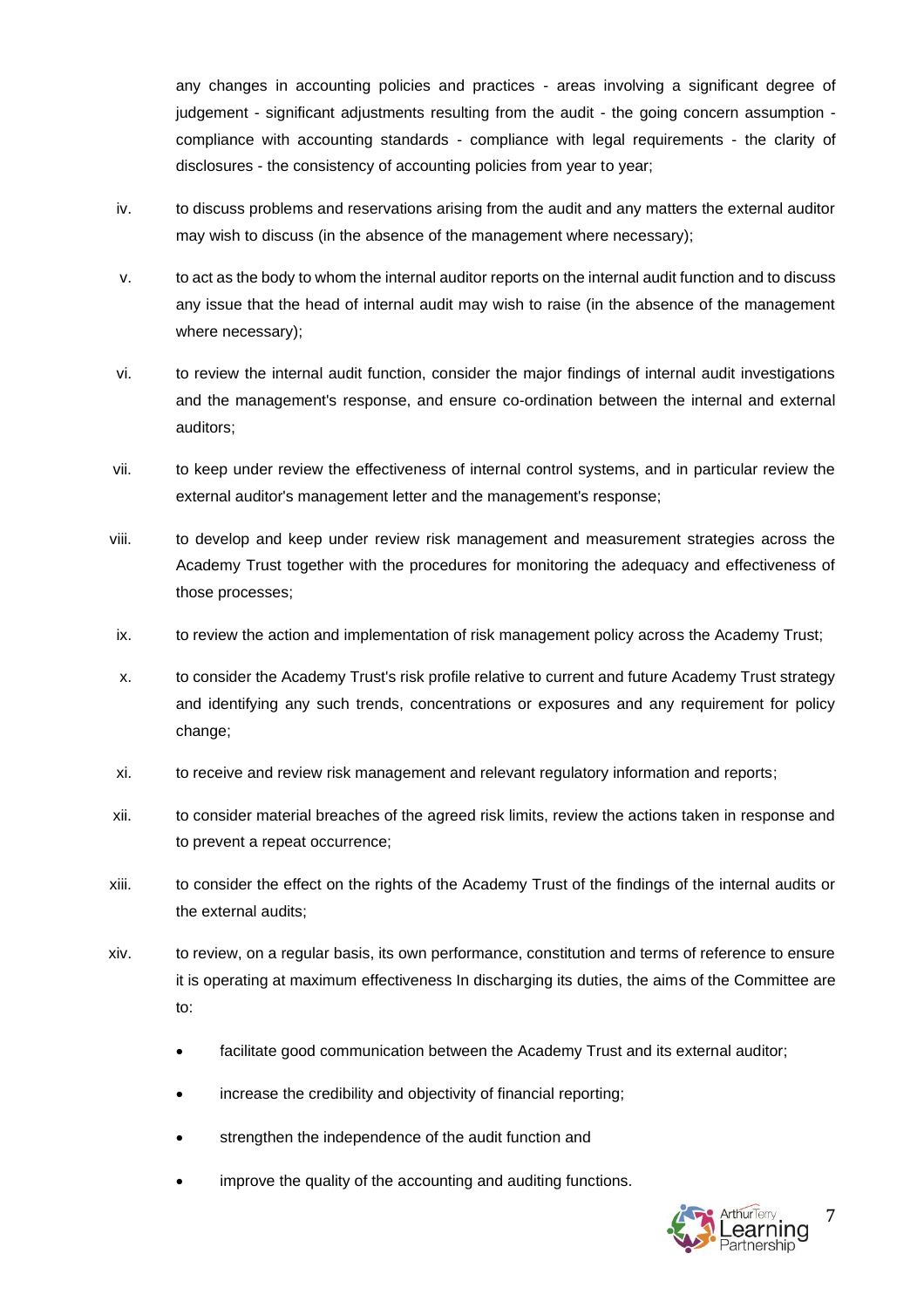any changes in accounting policies and practices - areas involving a significant degree of judgement - significant adjustments resulting from the audit - the going concern assumption compliance with accounting standards - compliance with legal requirements - the clarity of disclosures - the consistency of accounting policies from year to year;

- iv. to discuss problems and reservations arising from the audit and any matters the external auditor may wish to discuss (in the absence of the management where necessary);
- v. to act as the body to whom the internal auditor reports on the internal audit function and to discuss any issue that the head of internal audit may wish to raise (in the absence of the management where necessary);
- vi. to review the internal audit function, consider the major findings of internal audit investigations and the management's response, and ensure co-ordination between the internal and external auditors;
- vii. to keep under review the effectiveness of internal control systems, and in particular review the external auditor's management letter and the management's response;
- viii. to develop and keep under review risk management and measurement strategies across the Academy Trust together with the procedures for monitoring the adequacy and effectiveness of those processes;
- ix. to review the action and implementation of risk management policy across the Academy Trust;
- x. to consider the Academy Trust's risk profile relative to current and future Academy Trust strategy and identifying any such trends, concentrations or exposures and any requirement for policy change;
- xi. to receive and review risk management and relevant regulatory information and reports;
- xii. to consider material breaches of the agreed risk limits, review the actions taken in response and to prevent a repeat occurrence;
- xiii. to consider the effect on the rights of the Academy Trust of the findings of the internal audits or the external audits;
- xiv. to review, on a regular basis, its own performance, constitution and terms of reference to ensure it is operating at maximum effectiveness In discharging its duties, the aims of the Committee are to:
	- facilitate good communication between the Academy Trust and its external auditor;
	- increase the credibility and objectivity of financial reporting;
	- strengthen the independence of the audit function and
	- improve the quality of the accounting and auditing functions.

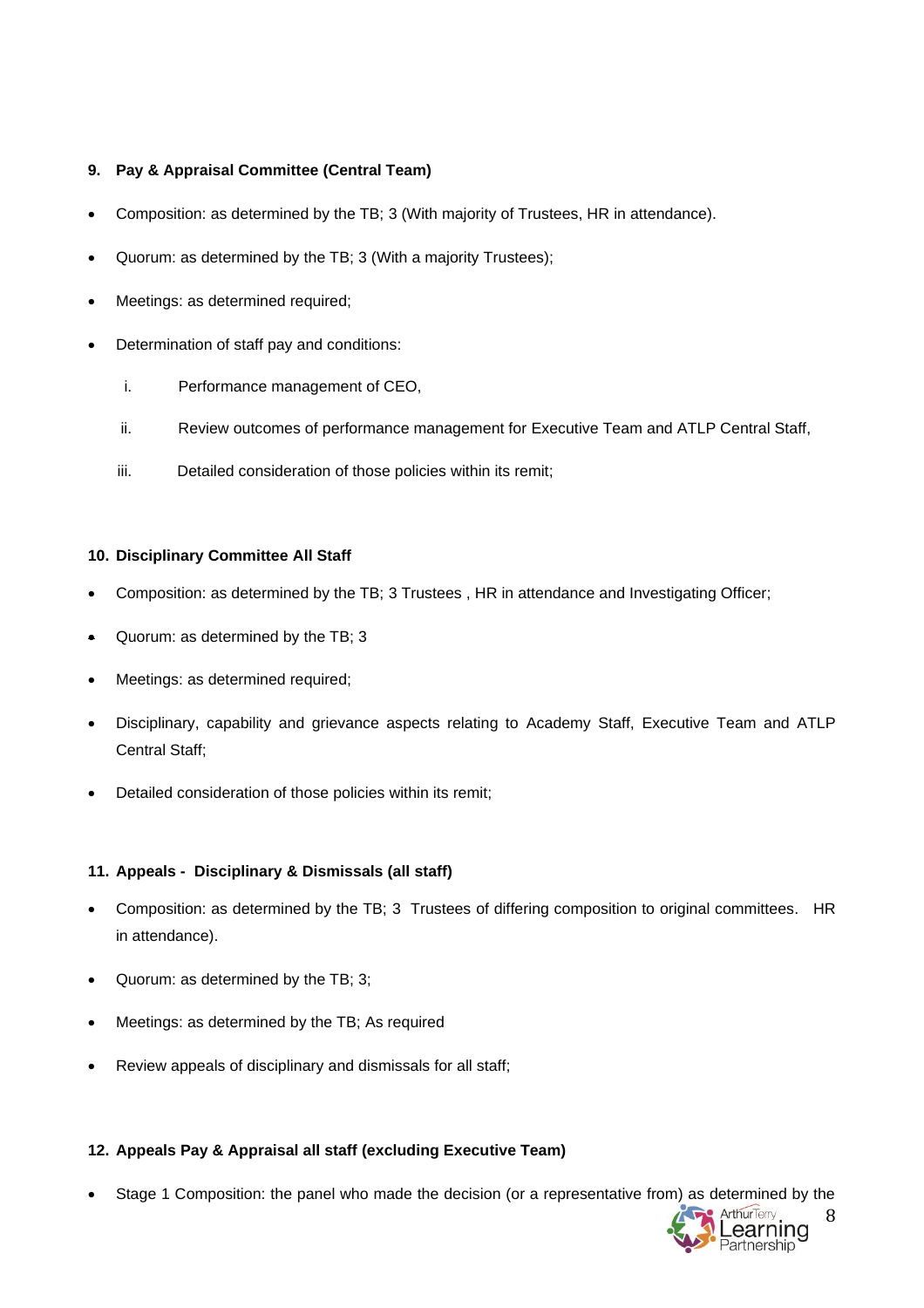## **9. Pay & Appraisal Committee (Central Team)**

- Composition: as determined by the TB; 3 (With majority of Trustees, HR in attendance).
- Quorum: as determined by the TB; 3 (With a majority Trustees);
- Meetings: as determined required;
- Determination of staff pay and conditions:
	- i. Performance management of CEO,
	- ii. Review outcomes of performance management for Executive Team and ATLP Central Staff,
	- iii. Detailed consideration of those policies within its remit;

## **10. Disciplinary Committee All Staff**

- Composition: as determined by the TB; 3 Trustees , HR in attendance and Investigating Officer;
- Quorum: as determined by the TB; 3
- Meetings: as determined required;
- Disciplinary, capability and grievance aspects relating to Academy Staff, Executive Team and ATLP Central Staff;
- Detailed consideration of those policies within its remit;

## **11. Appeals - Disciplinary & Dismissals (all staff)**

- Composition: as determined by the TB; 3 Trustees of differing composition to original committees. HR in attendance).
- Quorum: as determined by the TB; 3;
- Meetings: as determined by the TB; As required
- Review appeals of disciplinary and dismissals for all staff;

# **12. Appeals Pay & Appraisal all staff (excluding Executive Team)**

• Stage 1 Composition: the panel who made the decision (or a representative from) as determined by the

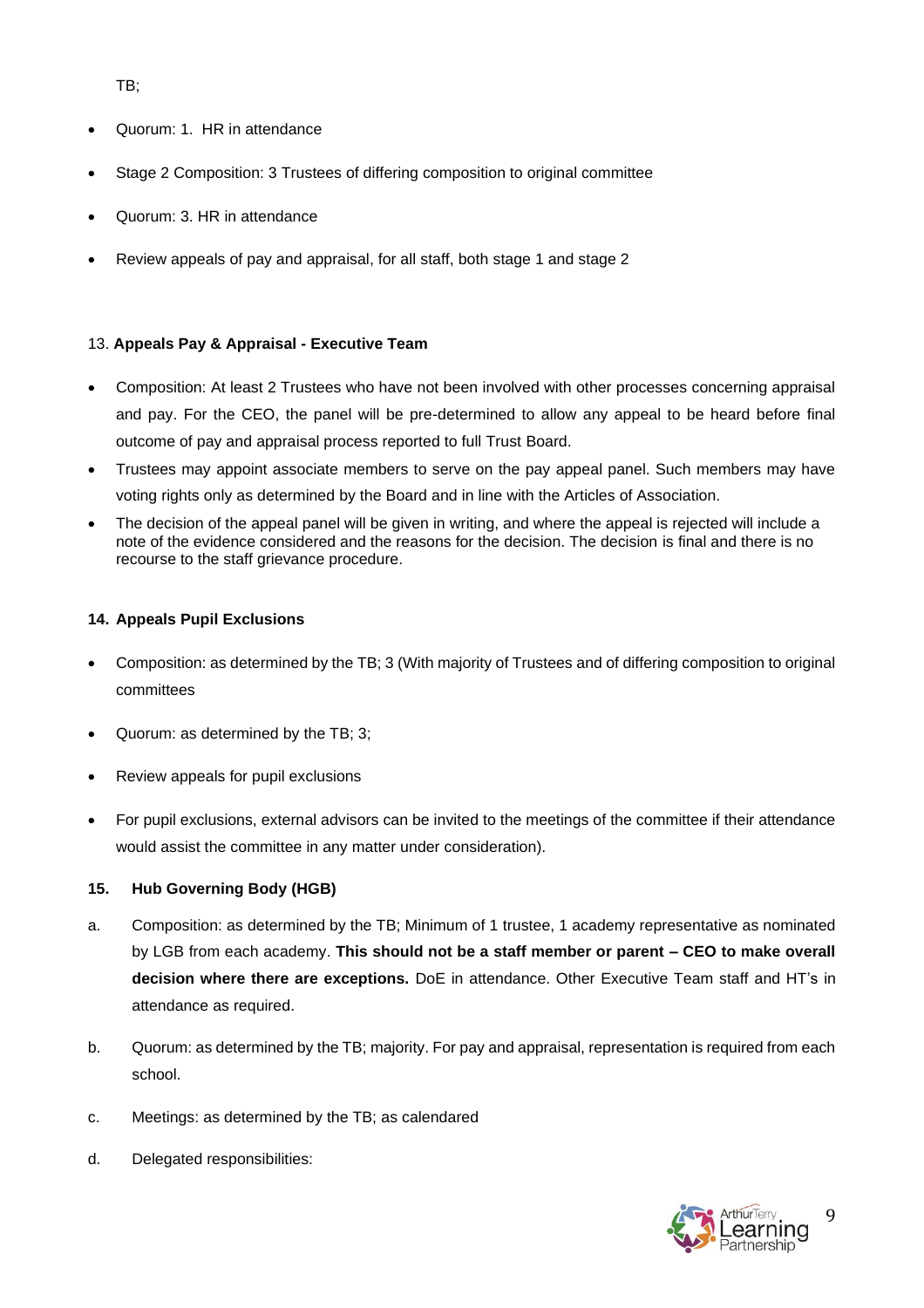TB;

- Quorum: 1. HR in attendance
- Stage 2 Composition: 3 Trustees of differing composition to original committee
- Quorum: 3. HR in attendance
- Review appeals of pay and appraisal, for all staff, both stage 1 and stage 2

## 13. **Appeals Pay & Appraisal - Executive Team**

- Composition: At least 2 Trustees who have not been involved with other processes concerning appraisal and pay. For the CEO, the panel will be pre-determined to allow any appeal to be heard before final outcome of pay and appraisal process reported to full Trust Board.
- Trustees may appoint associate members to serve on the pay appeal panel. Such members may have voting rights only as determined by the Board and in line with the Articles of Association.
- The decision of the appeal panel will be given in writing, and where the appeal is rejected will include a note of the evidence considered and the reasons for the decision. The decision is final and there is no recourse to the staff grievance procedure.

## **14. Appeals Pupil Exclusions**

- Composition: as determined by the TB; 3 (With majority of Trustees and of differing composition to original committees
- Quorum: as determined by the TB; 3;
- Review appeals for pupil exclusions
- For pupil exclusions, external advisors can be invited to the meetings of the committee if their attendance would assist the committee in any matter under consideration).

## **15. Hub Governing Body (HGB)**

- a. Composition: as determined by the TB; Minimum of 1 trustee, 1 academy representative as nominated by LGB from each academy. **This should not be a staff member or parent – CEO to make overall decision where there are exceptions.** DoE in attendance. Other Executive Team staff and HT's in attendance as required.
- b. Quorum: as determined by the TB; majority. For pay and appraisal, representation is required from each school.
- c. Meetings: as determined by the TB; as calendared
- d. Delegated responsibilities:

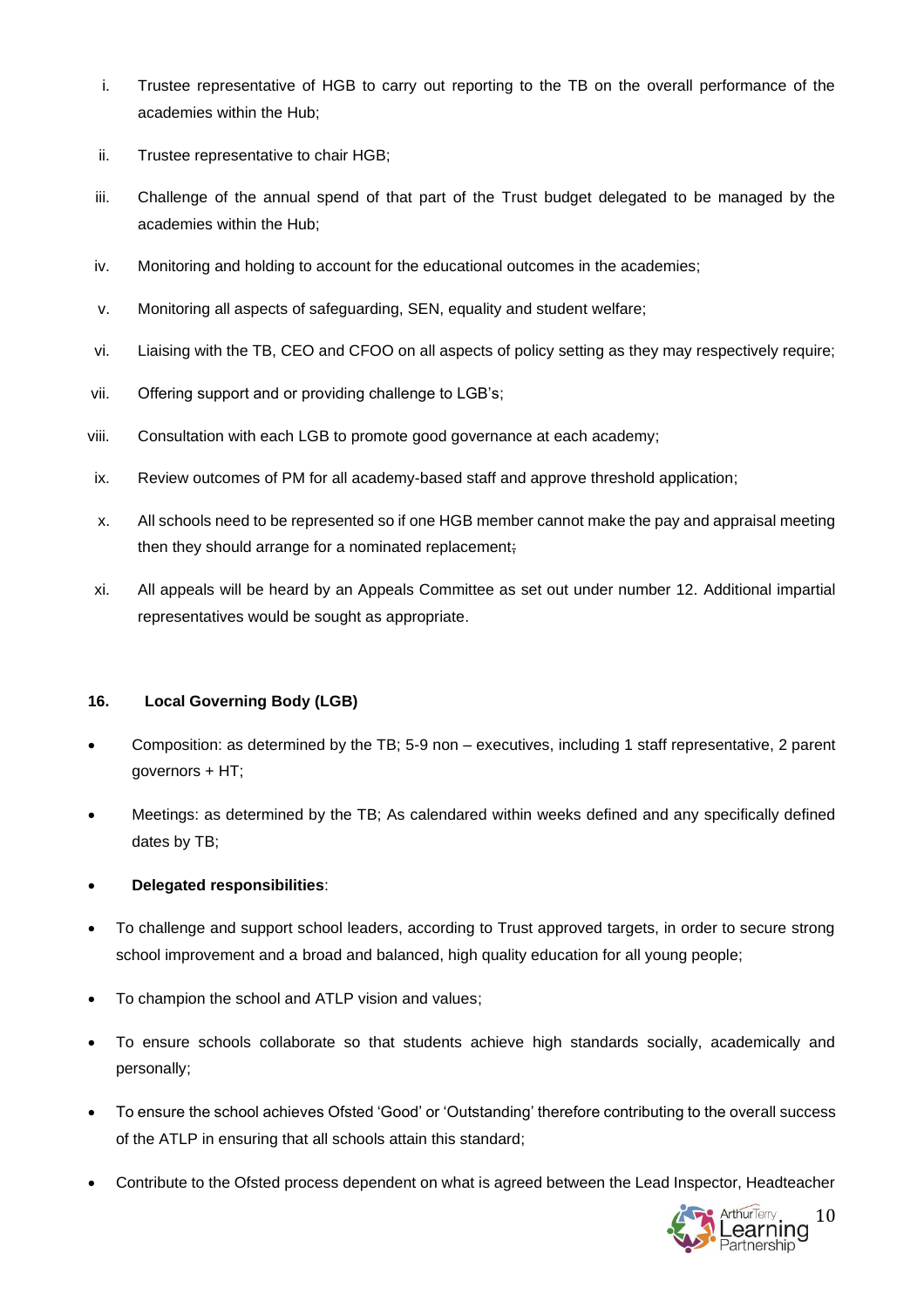- i. Trustee representative of HGB to carry out reporting to the TB on the overall performance of the academies within the Hub;
- ii. Trustee representative to chair HGB;
- iii. Challenge of the annual spend of that part of the Trust budget delegated to be managed by the academies within the Hub;
- iv. Monitoring and holding to account for the educational outcomes in the academies;
- v. Monitoring all aspects of safeguarding, SEN, equality and student welfare;
- vi. Liaising with the TB, CEO and CFOO on all aspects of policy setting as they may respectively require;
- vii. Offering support and or providing challenge to LGB's;
- viii. Consultation with each LGB to promote good governance at each academy;
- ix. Review outcomes of PM for all academy-based staff and approve threshold application;
- x. All schools need to be represented so if one HGB member cannot make the pay and appraisal meeting then they should arrange for a nominated replacement;
- xi. All appeals will be heard by an Appeals Committee as set out under number 12. Additional impartial representatives would be sought as appropriate.

# **16. Local Governing Body (LGB)**

- Composition: as determined by the TB; 5-9 non executives, including 1 staff representative, 2 parent governors + HT;
- Meetings: as determined by the TB; As calendared within weeks defined and any specifically defined dates by TB;

# • **Delegated responsibilities**:

- To challenge and support school leaders, according to Trust approved targets, in order to secure strong school improvement and a broad and balanced, high quality education for all young people;
- To champion the school and ATLP vision and values;
- To ensure schools collaborate so that students achieve high standards socially, academically and personally;
- To ensure the school achieves Ofsted 'Good' or 'Outstanding' therefore contributing to the overall success of the ATLP in ensuring that all schools attain this standard;
- Contribute to the Ofsted process dependent on what is agreed between the Lead Inspector, Headteacher

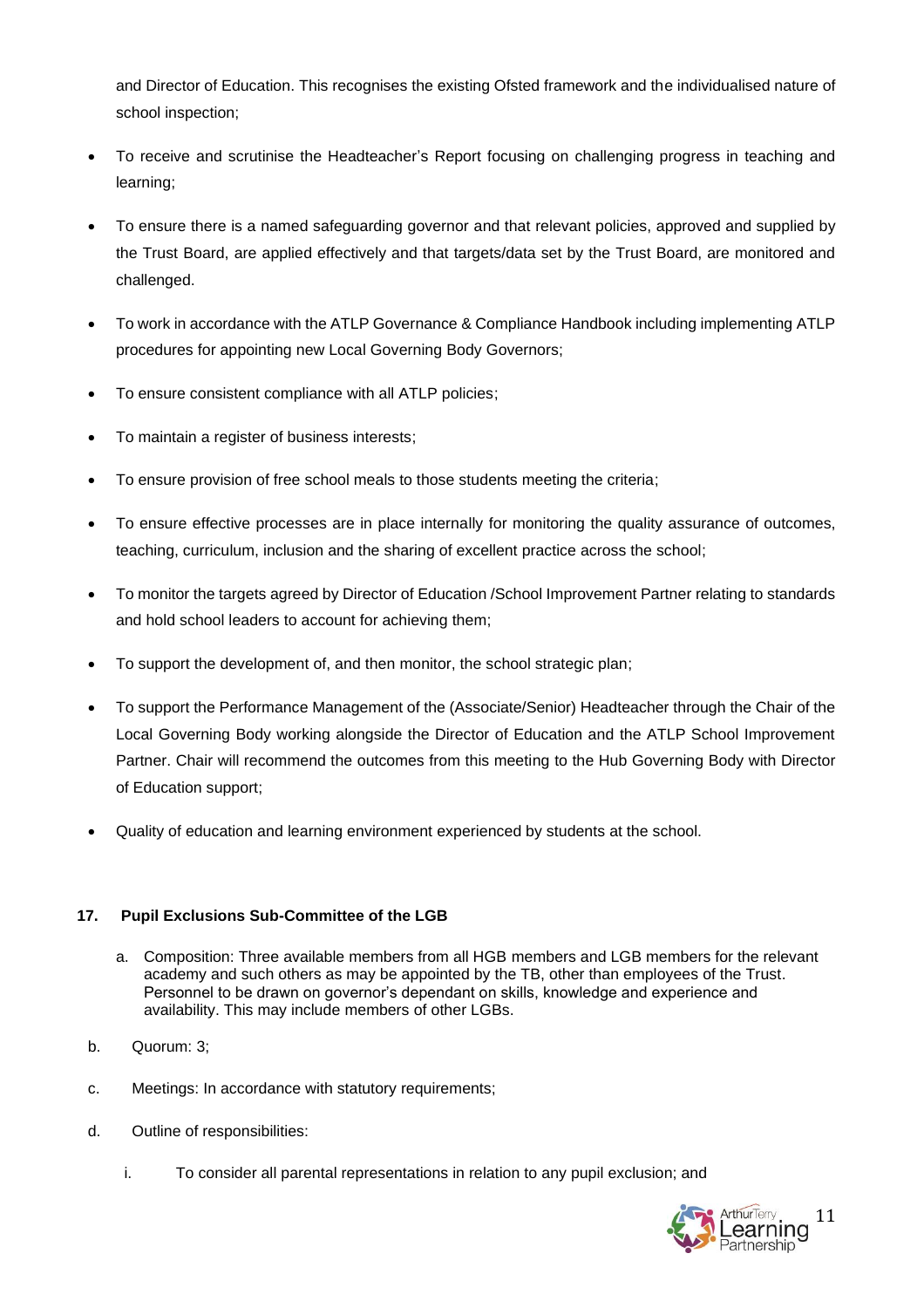and Director of Education. This recognises the existing Ofsted framework and the individualised nature of school inspection;

- To receive and scrutinise the Headteacher's Report focusing on challenging progress in teaching and learning;
- To ensure there is a named safeguarding governor and that relevant policies, approved and supplied by the Trust Board, are applied effectively and that targets/data set by the Trust Board, are monitored and challenged.
- To work in accordance with the ATLP Governance & Compliance Handbook including implementing ATLP procedures for appointing new Local Governing Body Governors;
- To ensure consistent compliance with all ATLP policies;
- To maintain a register of business interests;
- To ensure provision of free school meals to those students meeting the criteria;
- To ensure effective processes are in place internally for monitoring the quality assurance of outcomes, teaching, curriculum, inclusion and the sharing of excellent practice across the school;
- To monitor the targets agreed by Director of Education /School Improvement Partner relating to standards and hold school leaders to account for achieving them;
- To support the development of, and then monitor, the school strategic plan;
- To support the Performance Management of the (Associate/Senior) Headteacher through the Chair of the Local Governing Body working alongside the Director of Education and the ATLP School Improvement Partner. Chair will recommend the outcomes from this meeting to the Hub Governing Body with Director of Education support;
- Quality of education and learning environment experienced by students at the school.

# **17. Pupil Exclusions Sub-Committee of the LGB**

- a. Composition: Three available members from all HGB members and LGB members for the relevant academy and such others as may be appointed by the TB, other than employees of the Trust. Personnel to be drawn on governor's dependant on skills, knowledge and experience and availability. This may include members of other LGBs.
- b. Quorum: 3;
- c. Meetings: In accordance with statutory requirements;
- d. Outline of responsibilities:
	- i. To consider all parental representations in relation to any pupil exclusion; and

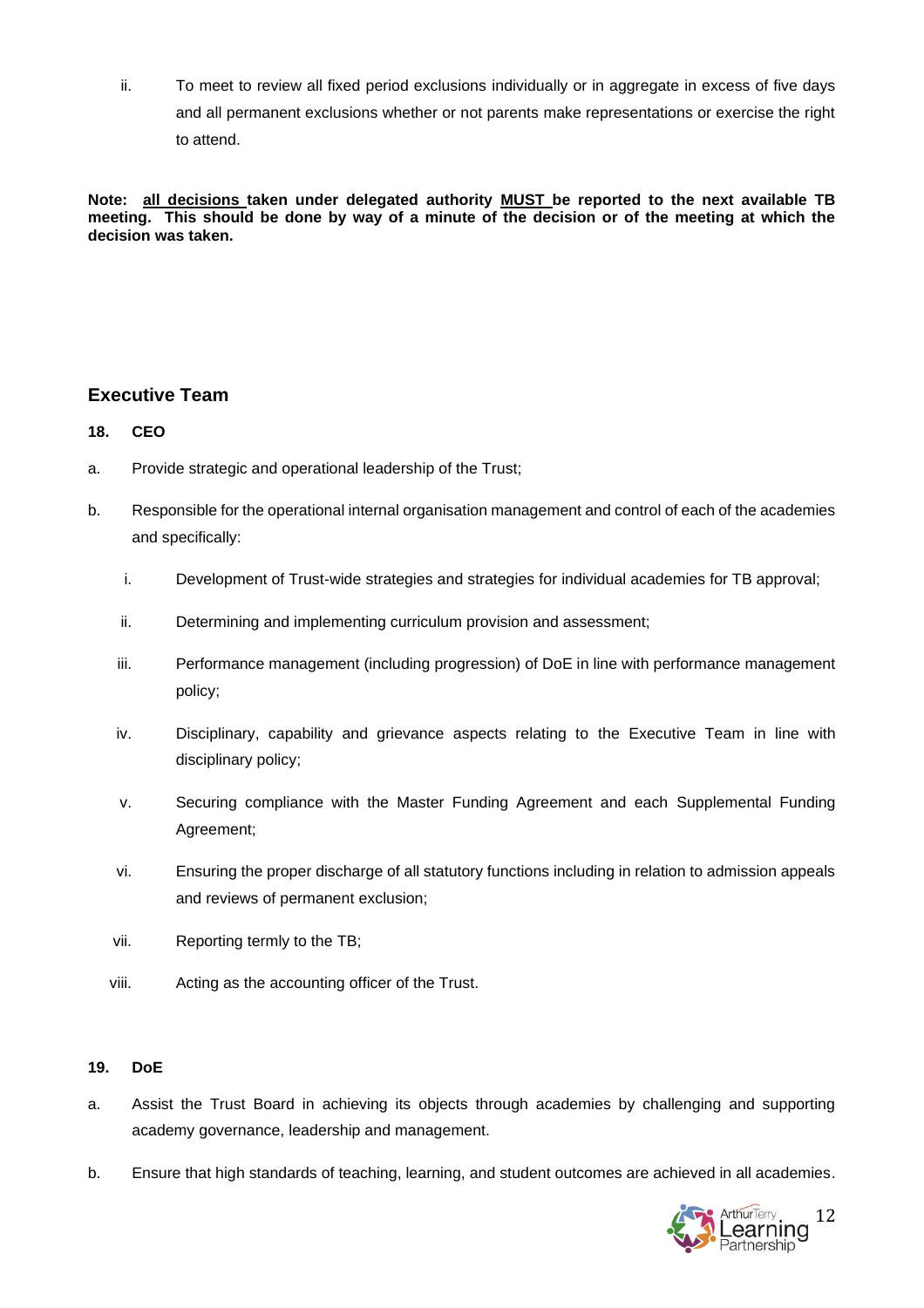ii. To meet to review all fixed period exclusions individually or in aggregate in excess of five days and all permanent exclusions whether or not parents make representations or exercise the right to attend.

**Note: all decisions taken under delegated authority MUST be reported to the next available TB meeting. This should be done by way of a minute of the decision or of the meeting at which the decision was taken.**

# **Executive Team**

# **18. CEO**

- a. Provide strategic and operational leadership of the Trust;
- b. Responsible for the operational internal organisation management and control of each of the academies and specifically:
	- i. Development of Trust-wide strategies and strategies for individual academies for TB approval;
	- ii. Determining and implementing curriculum provision and assessment;
	- iii. Performance management (including progression) of DoE in line with performance management policy;
	- iv. Disciplinary, capability and grievance aspects relating to the Executive Team in line with disciplinary policy;
	- v. Securing compliance with the Master Funding Agreement and each Supplemental Funding Agreement;
	- vi. Ensuring the proper discharge of all statutory functions including in relation to admission appeals and reviews of permanent exclusion;
	- vii. Reporting termly to the TB;
	- viii. Acting as the accounting officer of the Trust.

# **19. DoE**

- a. Assist the Trust Board in achieving its objects through academies by challenging and supporting academy governance, leadership and management.
- b. Ensure that high standards of teaching, learning, and student outcomes are achieved in all academies.

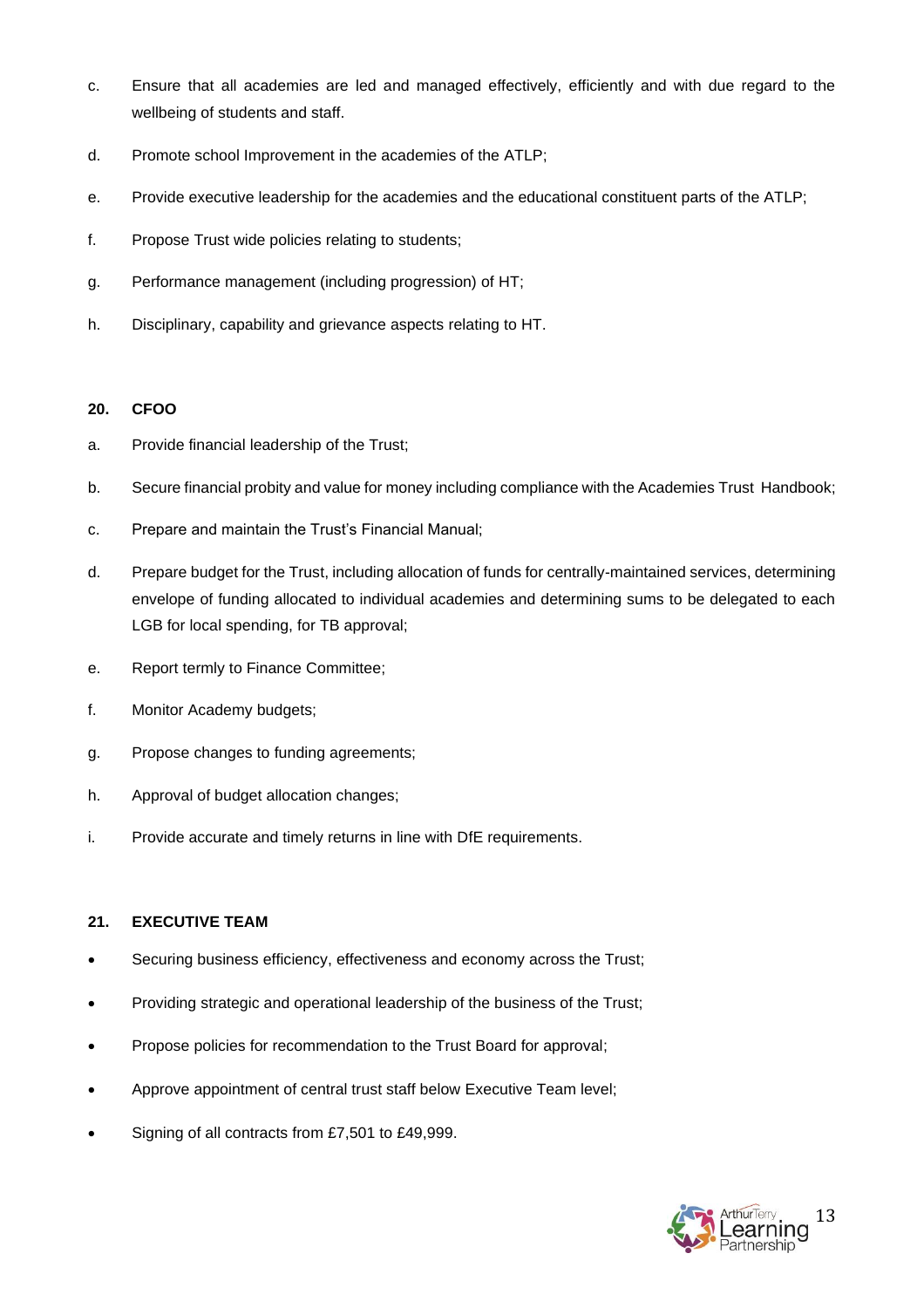- c. Ensure that all academies are led and managed effectively, efficiently and with due regard to the wellbeing of students and staff.
- d. Promote school Improvement in the academies of the ATLP;
- e. Provide executive leadership for the academies and the educational constituent parts of the ATLP;
- f. Propose Trust wide policies relating to students;
- g. Performance management (including progression) of HT;
- h. Disciplinary, capability and grievance aspects relating to HT.

### **20. CFOO**

- a. Provide financial leadership of the Trust;
- b. Secure financial probity and value for money including compliance with the Academies Trust Handbook;
- c. Prepare and maintain the Trust's Financial Manual;
- d. Prepare budget for the Trust, including allocation of funds for centrally-maintained services, determining envelope of funding allocated to individual academies and determining sums to be delegated to each LGB for local spending, for TB approval;
- e. Report termly to Finance Committee;
- f. Monitor Academy budgets;
- g. Propose changes to funding agreements;
- h. Approval of budget allocation changes;
- i. Provide accurate and timely returns in line with DfE requirements.

## **21. EXECUTIVE TEAM**

- Securing business efficiency, effectiveness and economy across the Trust;
- Providing strategic and operational leadership of the business of the Trust;
- Propose policies for recommendation to the Trust Board for approval;
- Approve appointment of central trust staff below Executive Team level;
- Signing of all contracts from £7,501 to £49,999.

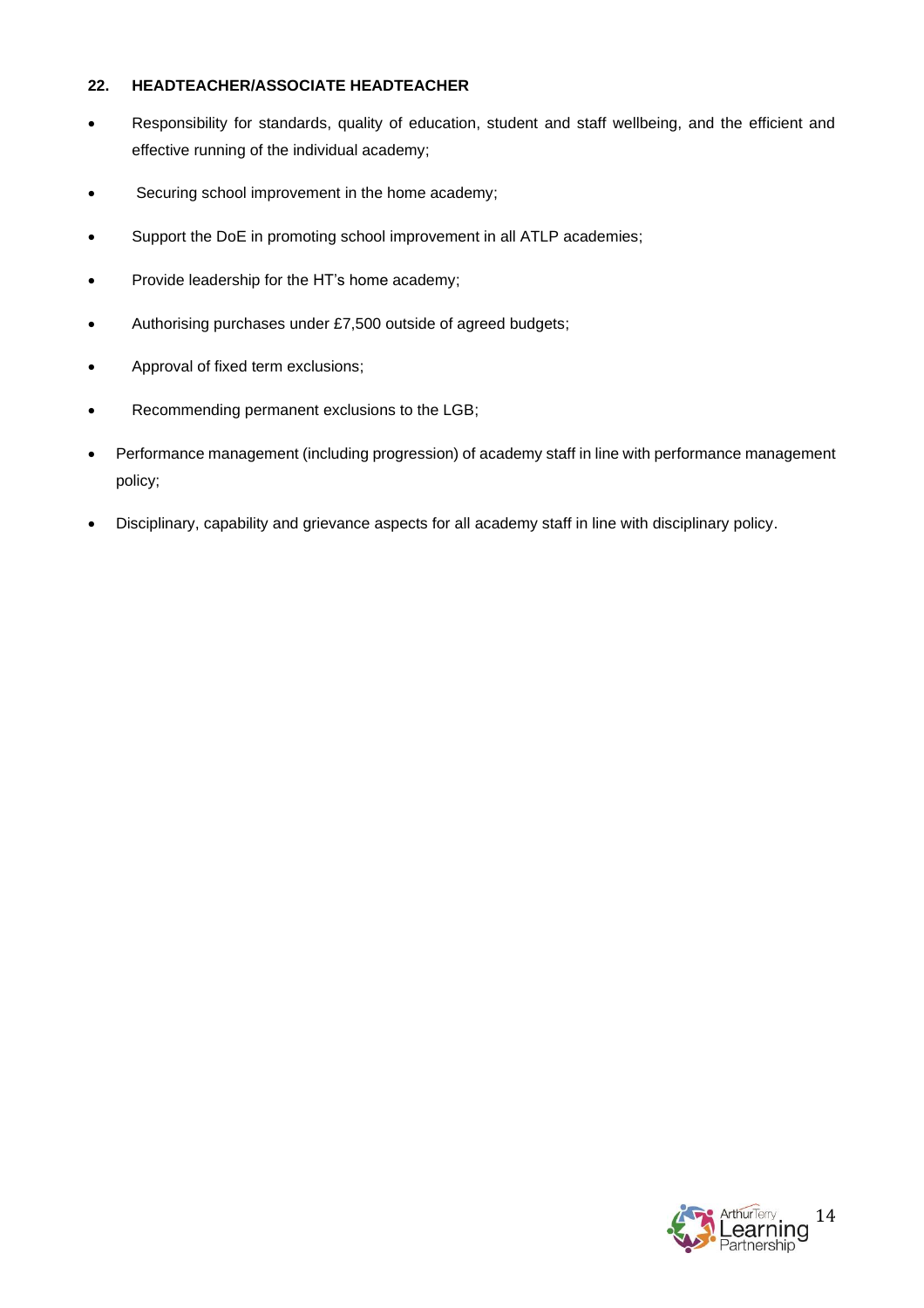## **22. HEADTEACHER/ASSOCIATE HEADTEACHER**

- Responsibility for standards, quality of education, student and staff wellbeing, and the efficient and effective running of the individual academy;
- Securing school improvement in the home academy;
- Support the DoE in promoting school improvement in all ATLP academies;
- Provide leadership for the HT's home academy;
- Authorising purchases under £7,500 outside of agreed budgets;
- Approval of fixed term exclusions;
- Recommending permanent exclusions to the LGB;
- Performance management (including progression) of academy staff in line with performance management policy;
- Disciplinary, capability and grievance aspects for all academy staff in line with disciplinary policy.

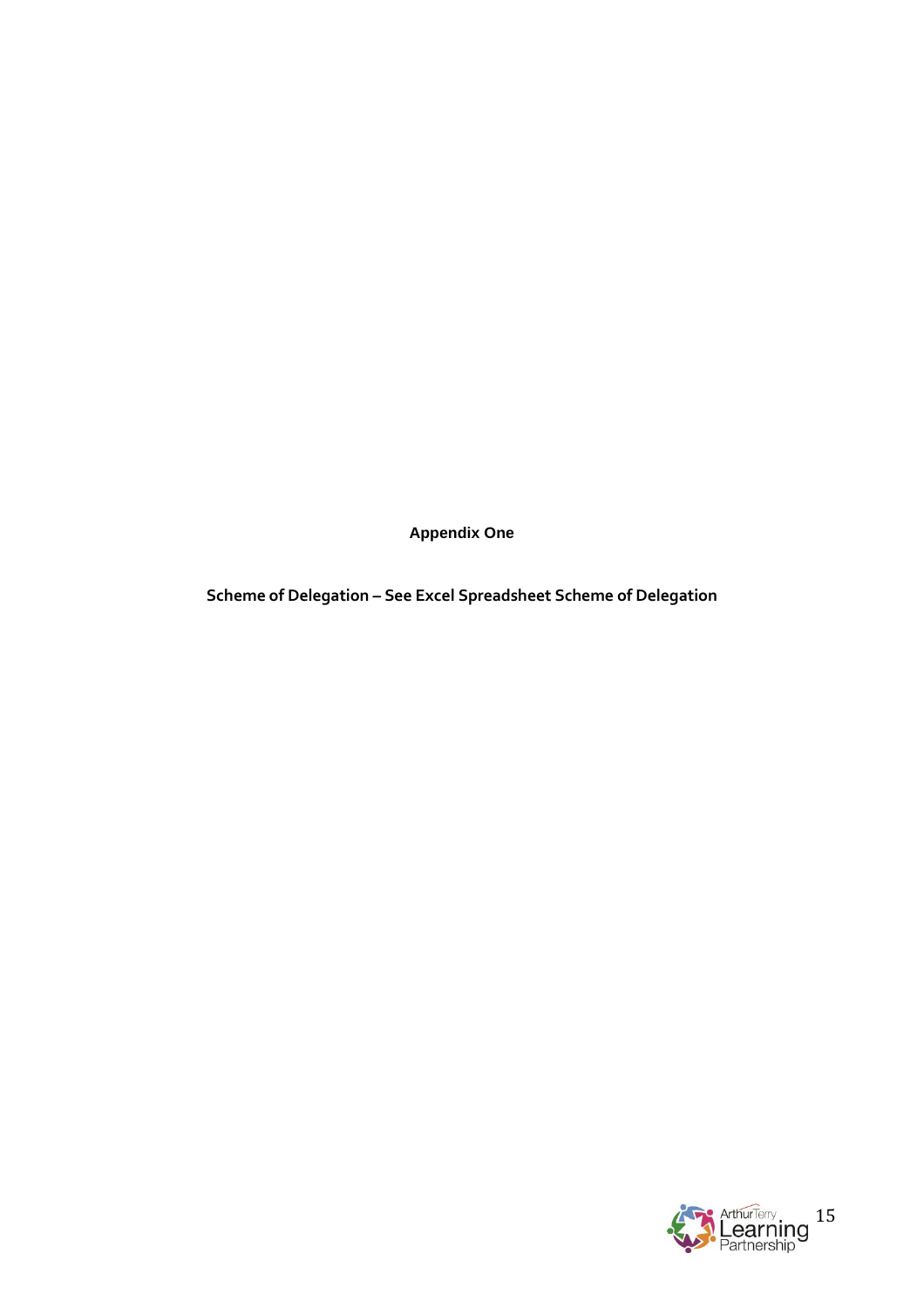**Appendix One**

**Scheme of Delegation – See Excel Spreadsheet Scheme of Delegation**

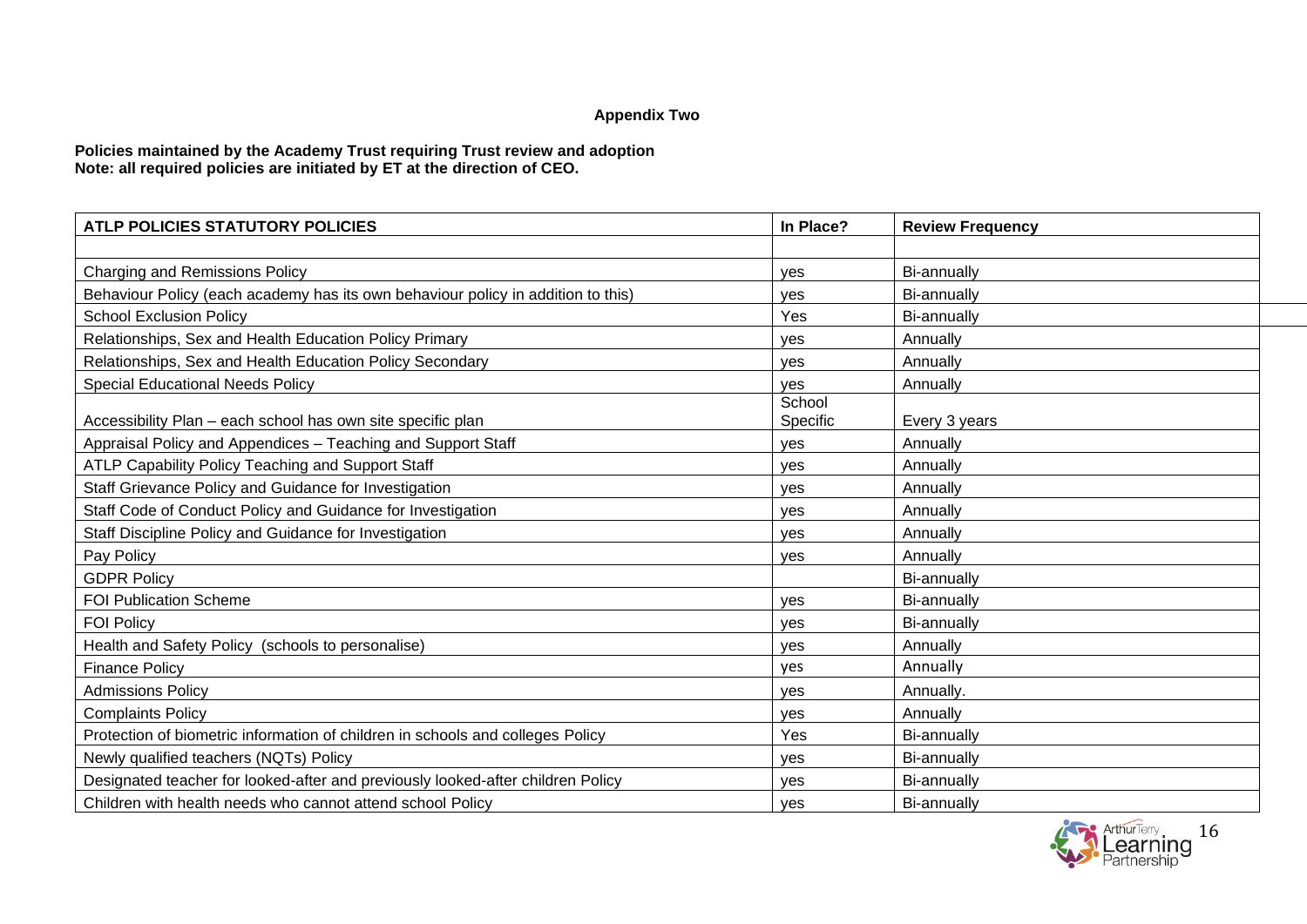# **Appendix Two**

### **Policies maintained by the Academy Trust requiring Trust review and adoption Note: all required policies are initiated by ET at the direction of CEO.**

| <b>ATLP POLICIES STATUTORY POLICIES</b>                                          | In Place?          | <b>Review Frequency</b> |
|----------------------------------------------------------------------------------|--------------------|-------------------------|
|                                                                                  |                    |                         |
| Charging and Remissions Policy                                                   | ves                | Bi-annually             |
| Behaviour Policy (each academy has its own behaviour policy in addition to this) | ves                | Bi-annually             |
| <b>School Exclusion Policy</b>                                                   | Yes                | Bi-annually             |
| Relationships, Sex and Health Education Policy Primary                           | ves                | Annually                |
| Relationships, Sex and Health Education Policy Secondary                         | ves                | Annually                |
| <b>Special Educational Needs Policy</b>                                          | ves                | Annually                |
| Accessibility Plan - each school has own site specific plan                      | School<br>Specific | Every 3 years           |
| Appraisal Policy and Appendices - Teaching and Support Staff                     | ves                | Annually                |
| ATLP Capability Policy Teaching and Support Staff                                | ves                | Annually                |
| Staff Grievance Policy and Guidance for Investigation                            | ves                | Annually                |
| Staff Code of Conduct Policy and Guidance for Investigation                      | ves                | Annually                |
| Staff Discipline Policy and Guidance for Investigation                           | ves                | Annually                |
| Pay Policy                                                                       | ves                | Annually                |
| <b>GDPR Policy</b>                                                               |                    | Bi-annually             |
| <b>FOI Publication Scheme</b>                                                    | ves                | Bi-annually             |
| <b>FOI Policy</b>                                                                | ves                | Bi-annually             |
| Health and Safety Policy (schools to personalise)                                | ves                | Annually                |
| <b>Finance Policy</b>                                                            | yes                | Annually                |
| <b>Admissions Policy</b>                                                         | ves                | Annually.               |
| <b>Complaints Policy</b>                                                         | yes                | Annually                |
| Protection of biometric information of children in schools and colleges Policy   | Yes                | Bi-annually             |
| Newly qualified teachers (NQTs) Policy                                           | ves                | Bi-annually             |
| Designated teacher for looked-after and previously looked-after children Policy  | ves                | Bi-annually             |
| Children with health needs who cannot attend school Policy                       | yes                | <b>Bi-annually</b>      |

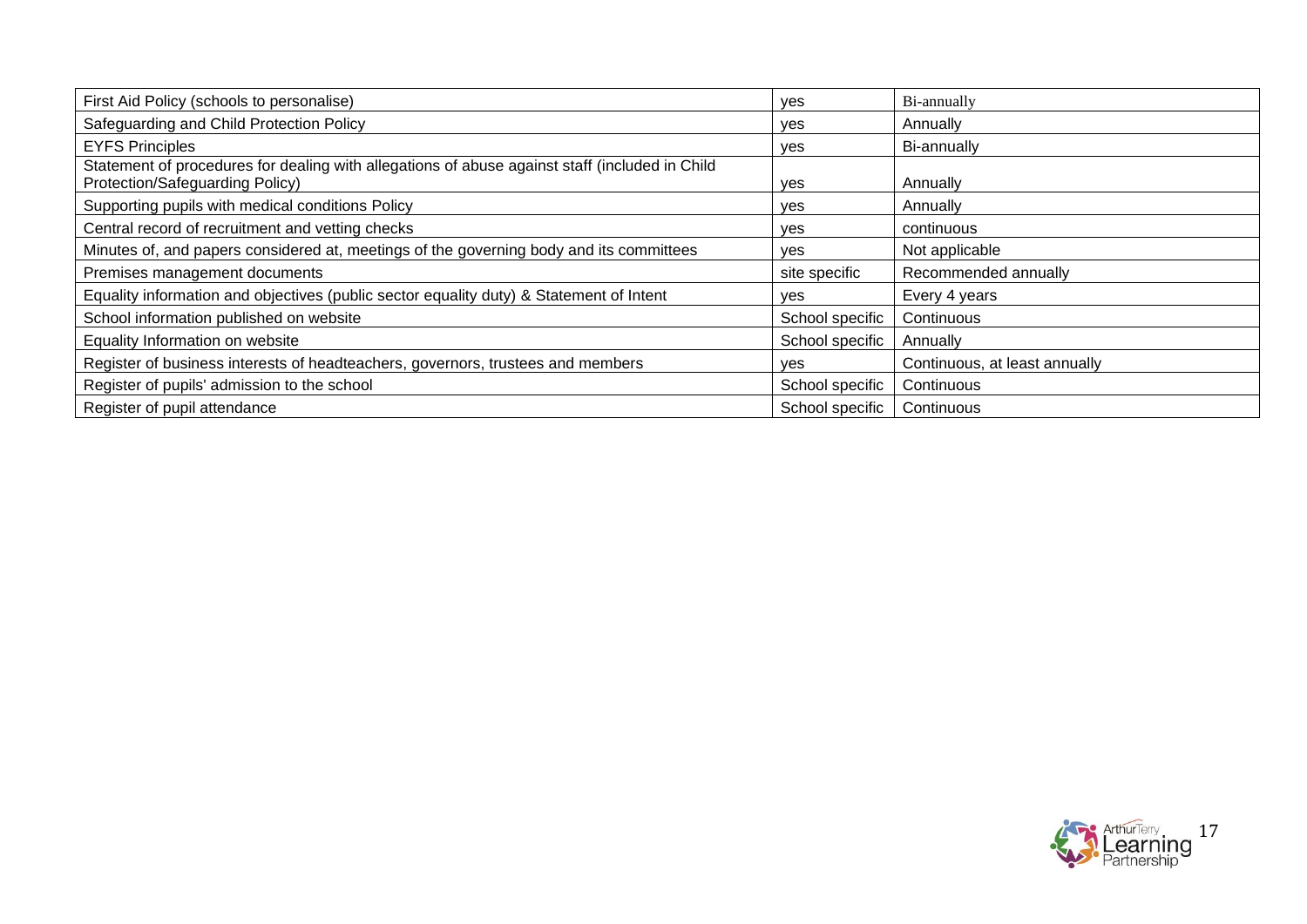| First Aid Policy (schools to personalise)                                                                                         | ves             | Bi-annually                   |
|-----------------------------------------------------------------------------------------------------------------------------------|-----------------|-------------------------------|
| Safeguarding and Child Protection Policy                                                                                          | <b>ves</b>      | Annually                      |
| <b>EYFS Principles</b>                                                                                                            | yes             | Bi-annually                   |
| Statement of procedures for dealing with allegations of abuse against staff (included in Child<br>Protection/Safeguarding Policy) | yes             | Annually                      |
| Supporting pupils with medical conditions Policy                                                                                  | yes             | Annually                      |
| Central record of recruitment and vetting checks                                                                                  | <b>ves</b>      | continuous                    |
| Minutes of, and papers considered at, meetings of the governing body and its committees                                           | ves             | Not applicable                |
| Premises management documents                                                                                                     | site specific   | Recommended annually          |
| Equality information and objectives (public sector equality duty) & Statement of Intent                                           | <b>ves</b>      | Every 4 years                 |
| School information published on website                                                                                           | School specific | Continuous                    |
| Equality Information on website                                                                                                   | School specific | Annually                      |
| Register of business interests of headteachers, governors, trustees and members                                                   | ves             | Continuous, at least annually |
| Register of pupils' admission to the school                                                                                       | School specific | Continuous                    |
| Register of pupil attendance                                                                                                      | School specific | Continuous                    |

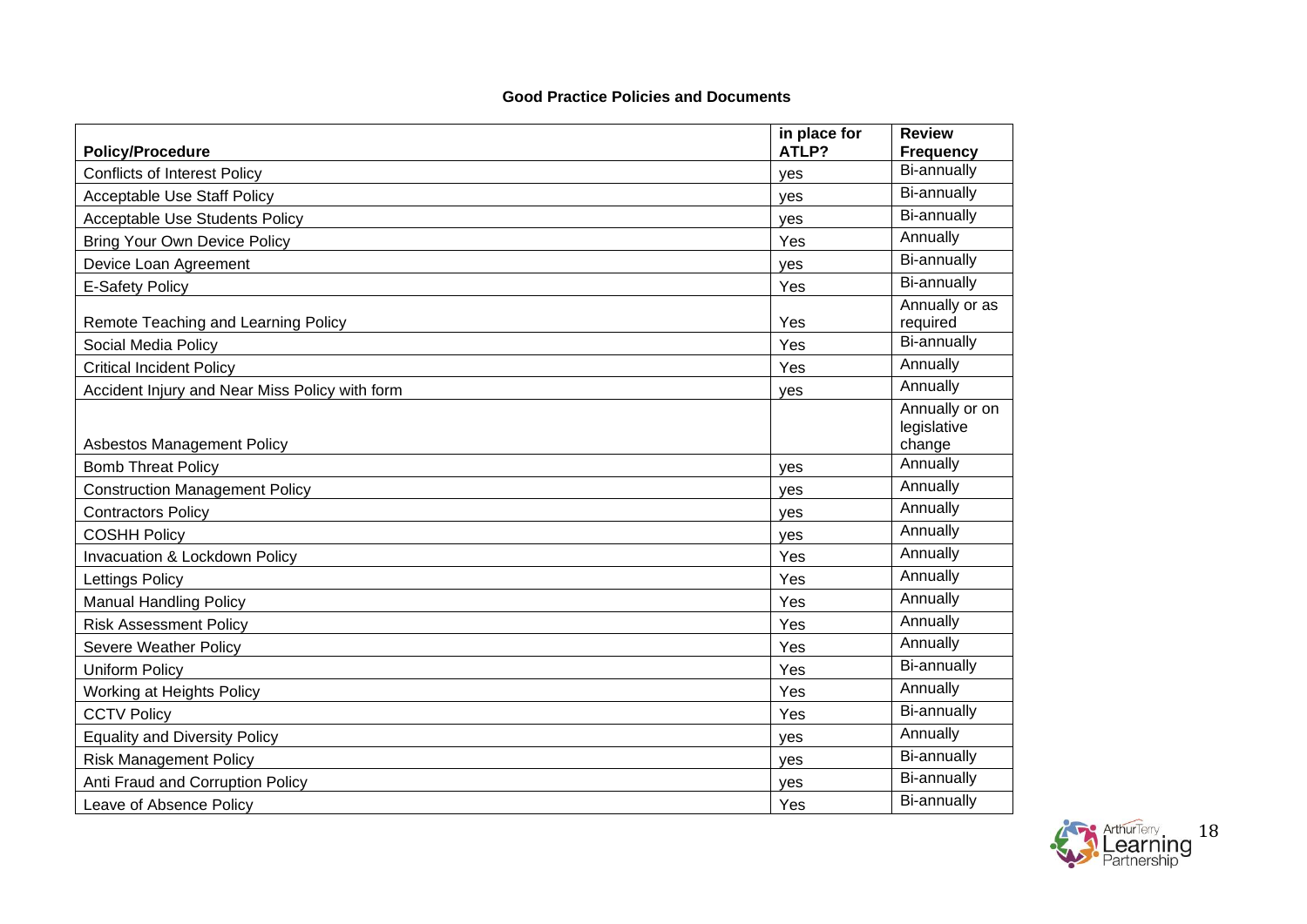## **Good Practice Policies and Documents**

|                                                | in place for | <b>Review</b>                           |
|------------------------------------------------|--------------|-----------------------------------------|
| <b>Policy/Procedure</b>                        | ATLP?        | <b>Frequency</b>                        |
| <b>Conflicts of Interest Policy</b>            | yes          | Bi-annually                             |
| <b>Acceptable Use Staff Policy</b>             | ves          | Bi-annually                             |
| <b>Acceptable Use Students Policy</b>          | ves          | Bi-annually                             |
| <b>Bring Your Own Device Policy</b>            | Yes          | Annually                                |
| Device Loan Agreement                          | <b>ves</b>   | Bi-annually                             |
| <b>E-Safety Policy</b>                         | Yes          | Bi-annually                             |
| Remote Teaching and Learning Policy            | Yes          | Annually or as<br>required              |
| Social Media Policy                            | Yes          | Bi-annually                             |
| <b>Critical Incident Policy</b>                | Yes          | Annually                                |
| Accident Injury and Near Miss Policy with form | yes          | Annually                                |
| <b>Asbestos Management Policy</b>              |              | Annually or on<br>legislative<br>change |
| <b>Bomb Threat Policy</b>                      | ves          | Annually                                |
| <b>Construction Management Policy</b>          | yes          | Annually                                |
| <b>Contractors Policy</b>                      | ves          | Annually                                |
| <b>COSHH Policy</b>                            | yes          | Annually                                |
| Invacuation & Lockdown Policy                  | Yes          | Annually                                |
| Lettings Policy                                | Yes          | Annually                                |
| <b>Manual Handling Policy</b>                  | Yes          | Annually                                |
| <b>Risk Assessment Policy</b>                  | Yes          | Annually                                |
| Severe Weather Policy                          | Yes          | Annually                                |
| <b>Uniform Policy</b>                          | Yes          | Bi-annually                             |
| Working at Heights Policy                      | Yes          | Annually                                |
| <b>CCTV Policy</b>                             | Yes          | Bi-annually                             |
| <b>Equality and Diversity Policy</b>           | yes          | Annually                                |
| <b>Risk Management Policy</b>                  | yes          | Bi-annually                             |
| Anti Fraud and Corruption Policy               | ves          | Bi-annually                             |
| Leave of Absence Policy                        | Yes          | Bi-annually                             |

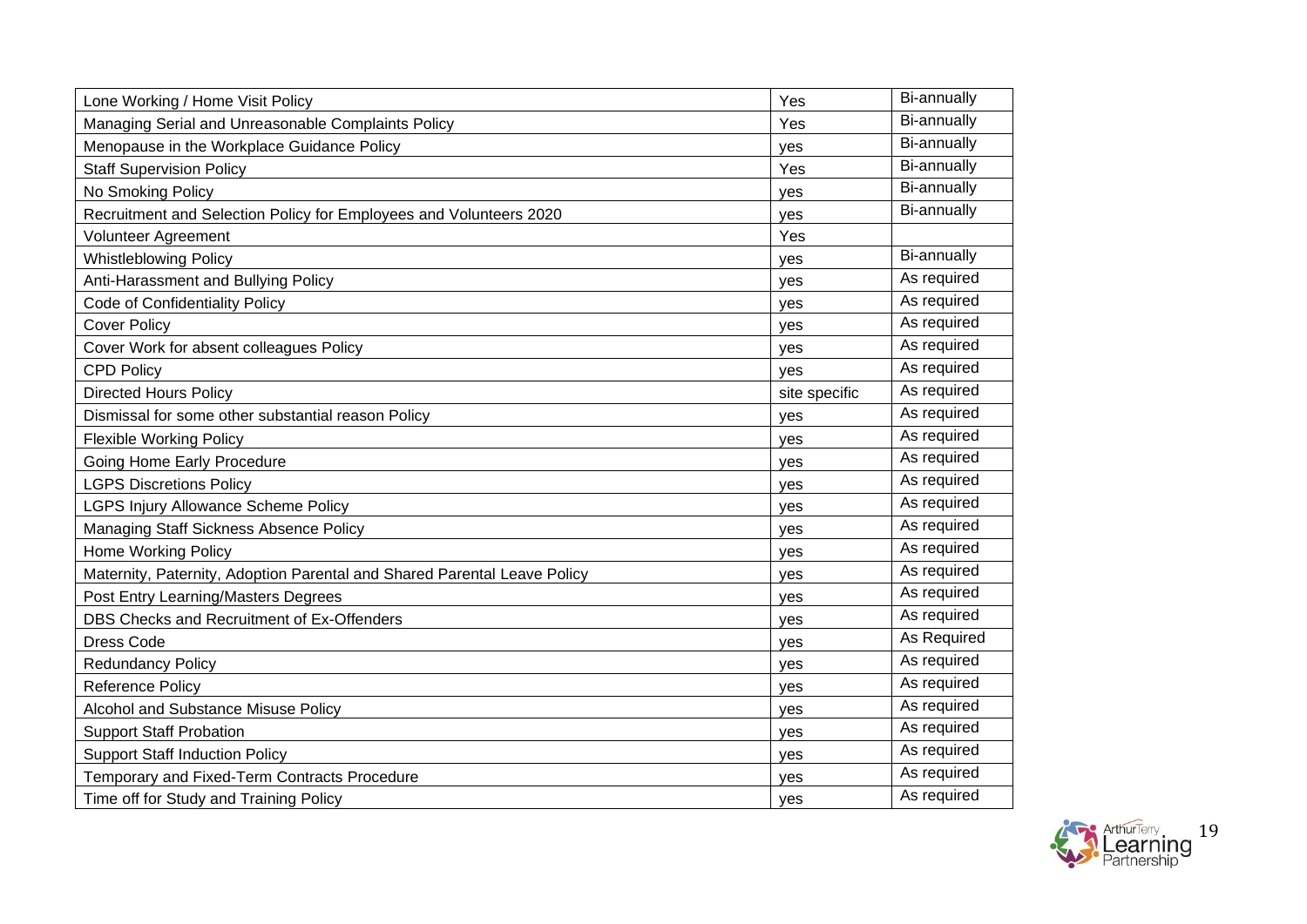| Lone Working / Home Visit Policy                                         | Yes           | Bi-annually |
|--------------------------------------------------------------------------|---------------|-------------|
| Managing Serial and Unreasonable Complaints Policy                       | Yes           | Bi-annually |
| Menopause in the Workplace Guidance Policy                               | yes           | Bi-annually |
| <b>Staff Supervision Policy</b>                                          | Yes           | Bi-annually |
| No Smoking Policy                                                        | ves           | Bi-annually |
| Recruitment and Selection Policy for Employees and Volunteers 2020       | ves           | Bi-annually |
| <b>Volunteer Agreement</b>                                               | Yes           |             |
| <b>Whistleblowing Policy</b>                                             | yes           | Bi-annually |
| Anti-Harassment and Bullying Policy                                      | yes           | As required |
| Code of Confidentiality Policy                                           | yes           | As required |
| <b>Cover Policy</b>                                                      | yes           | As required |
| Cover Work for absent colleagues Policy                                  | yes           | As required |
| <b>CPD Policy</b>                                                        | ves           | As required |
| <b>Directed Hours Policy</b>                                             | site specific | As required |
| Dismissal for some other substantial reason Policy                       | yes           | As required |
| <b>Flexible Working Policy</b>                                           | yes           | As required |
| Going Home Early Procedure                                               | yes           | As required |
| <b>LGPS Discretions Policy</b>                                           | yes           | As required |
| <b>LGPS Injury Allowance Scheme Policy</b>                               | yes           | As required |
| Managing Staff Sickness Absence Policy                                   | yes           | As required |
| <b>Home Working Policy</b>                                               | yes           | As required |
| Maternity, Paternity, Adoption Parental and Shared Parental Leave Policy | yes           | As required |
| Post Entry Learning/Masters Degrees                                      | yes           | As required |
| DBS Checks and Recruitment of Ex-Offenders                               | yes           | As required |
| <b>Dress Code</b>                                                        | ves           | As Required |
| <b>Redundancy Policy</b>                                                 | ves           | As required |
| <b>Reference Policy</b>                                                  | yes           | As required |
| Alcohol and Substance Misuse Policy                                      | ves           | As required |
| <b>Support Staff Probation</b>                                           | yes           | As required |
| <b>Support Staff Induction Policy</b>                                    | yes           | As required |
| Temporary and Fixed-Term Contracts Procedure                             | yes           | As required |
| Time off for Study and Training Policy                                   | yes           | As required |

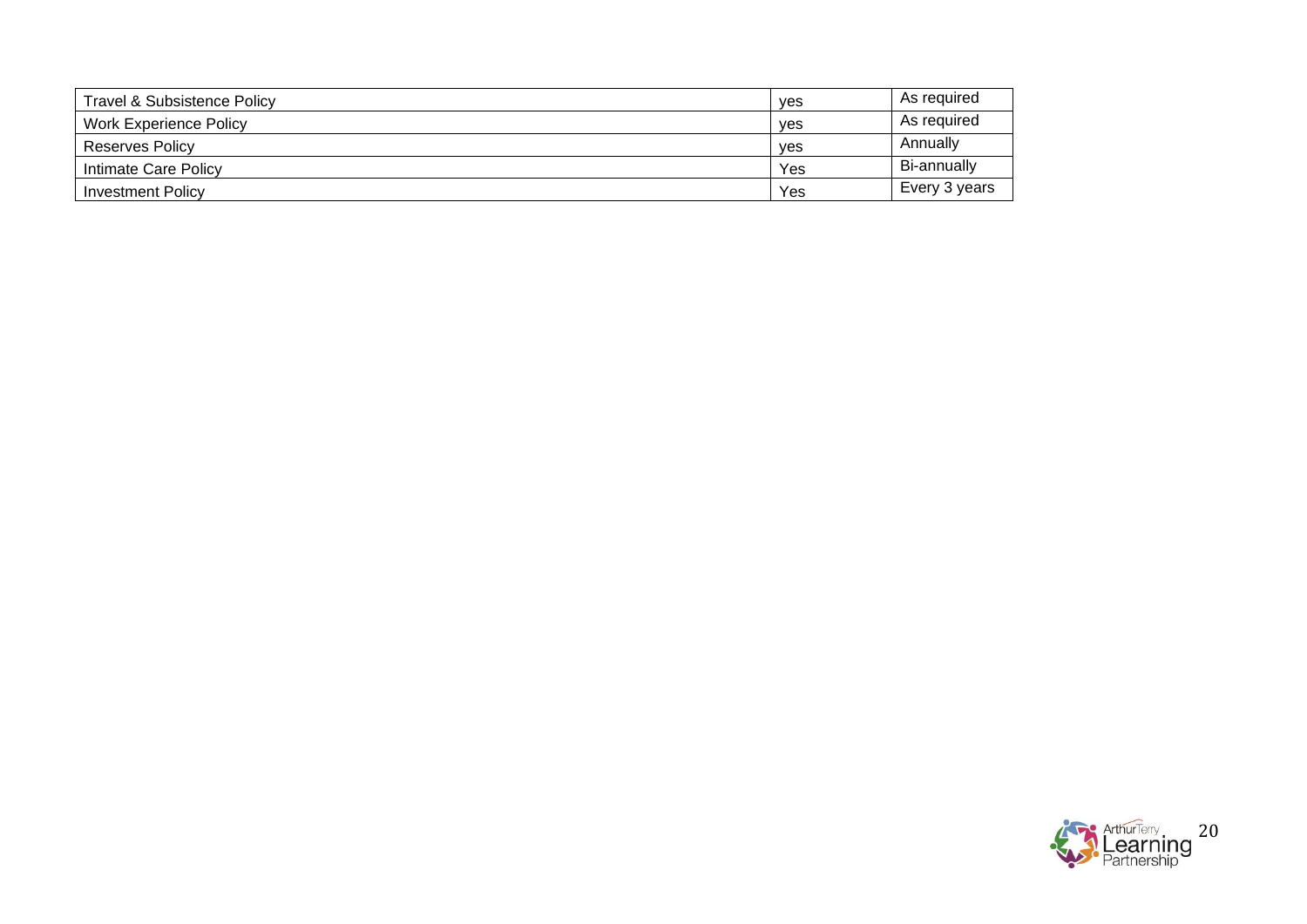| Travel & Subsistence Policy   | ves | As required   |
|-------------------------------|-----|---------------|
| <b>Work Experience Policy</b> | ves | As required   |
| Reserves Policy               | ves | Annually      |
| Intimate Care Policy          | Yes | Bi-annually   |
| <b>Investment Policy</b>      | Yes | Every 3 years |

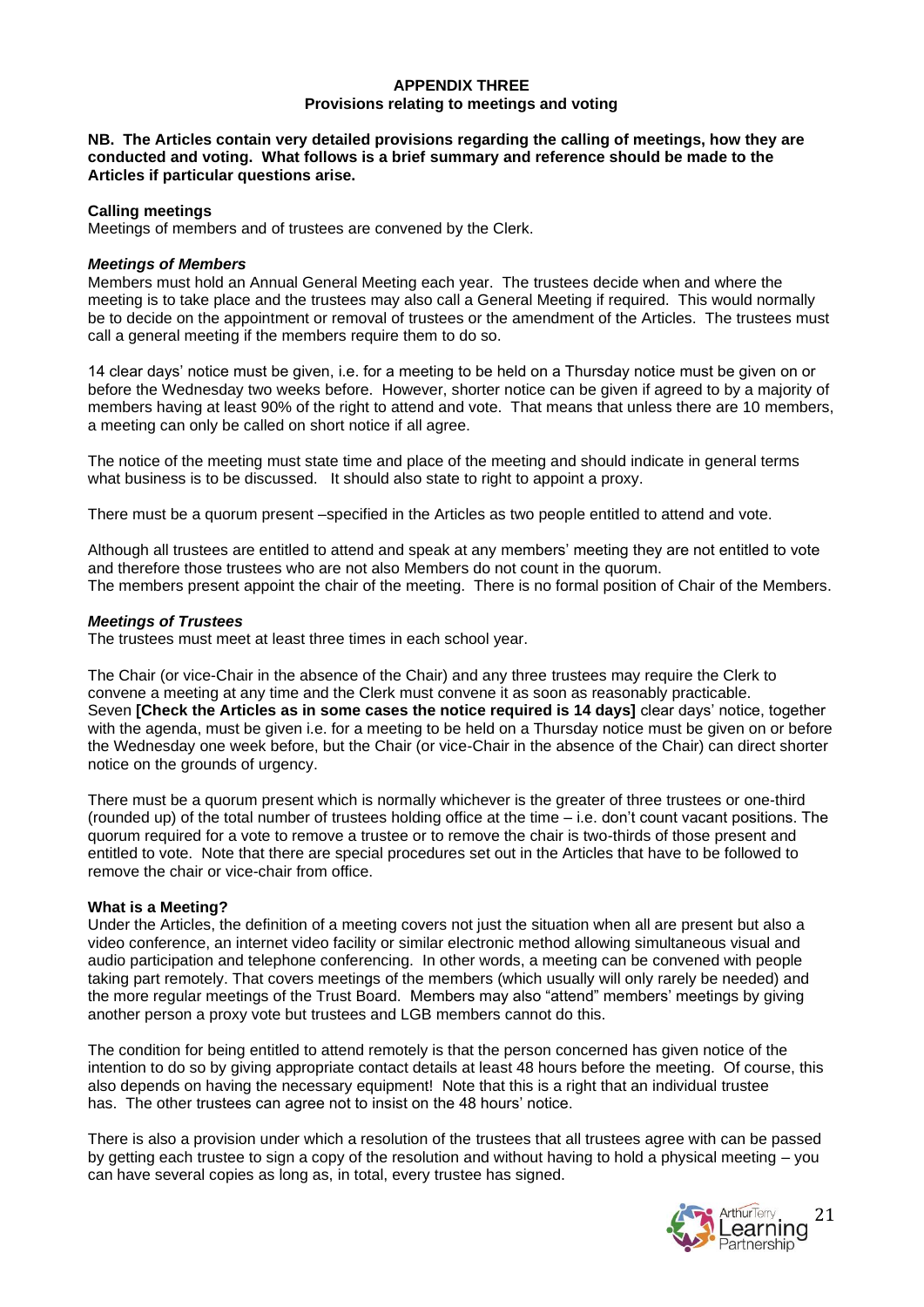### **APPENDIX THREE Provisions relating to meetings and voting**

#### **NB. The Articles contain very detailed provisions regarding the calling of meetings, how they are conducted and voting. What follows is a brief summary and reference should be made to the Articles if particular questions arise.**

### **Calling meetings**

Meetings of members and of trustees are convened by the Clerk.

### *Meetings of Members*

Members must hold an Annual General Meeting each year. The trustees decide when and where the meeting is to take place and the trustees may also call a General Meeting if required. This would normally be to decide on the appointment or removal of trustees or the amendment of the Articles. The trustees must call a general meeting if the members require them to do so.

14 clear days' notice must be given, i.e. for a meeting to be held on a Thursday notice must be given on or before the Wednesday two weeks before. However, shorter notice can be given if agreed to by a majority of members having at least 90% of the right to attend and vote. That means that unless there are 10 members, a meeting can only be called on short notice if all agree.

The notice of the meeting must state time and place of the meeting and should indicate in general terms what business is to be discussed. It should also state to right to appoint a proxy.

There must be a quorum present –specified in the Articles as two people entitled to attend and vote.

Although all trustees are entitled to attend and speak at any members' meeting they are not entitled to vote and therefore those trustees who are not also Members do not count in the quorum. The members present appoint the chair of the meeting. There is no formal position of Chair of the Members.

### *Meetings of Trustees*

The trustees must meet at least three times in each school year.

The Chair (or vice-Chair in the absence of the Chair) and any three trustees may require the Clerk to convene a meeting at any time and the Clerk must convene it as soon as reasonably practicable. Seven **[Check the Articles as in some cases the notice required is 14 days]** clear days' notice, together with the agenda, must be given i.e. for a meeting to be held on a Thursday notice must be given on or before the Wednesday one week before, but the Chair (or vice-Chair in the absence of the Chair) can direct shorter notice on the grounds of urgency.

There must be a quorum present which is normally whichever is the greater of three trustees or one-third (rounded up) of the total number of trustees holding office at the time – i.e. don't count vacant positions. The quorum required for a vote to remove a trustee or to remove the chair is two-thirds of those present and entitled to vote. Note that there are special procedures set out in the Articles that have to be followed to remove the chair or vice-chair from office.

## **What is a Meeting?**

Under the Articles, the definition of a meeting covers not just the situation when all are present but also a video conference, an internet video facility or similar electronic method allowing simultaneous visual and audio participation and telephone conferencing. In other words, a meeting can be convened with people taking part remotely. That covers meetings of the members (which usually will only rarely be needed) and the more regular meetings of the Trust Board. Members may also "attend" members' meetings by giving another person a proxy vote but trustees and LGB members cannot do this.

The condition for being entitled to attend remotely is that the person concerned has given notice of the intention to do so by giving appropriate contact details at least 48 hours before the meeting. Of course, this also depends on having the necessary equipment! Note that this is a right that an individual trustee has. The other trustees can agree not to insist on the 48 hours' notice.

There is also a provision under which a resolution of the trustees that all trustees agree with can be passed by getting each trustee to sign a copy of the resolution and without having to hold a physical meeting – you can have several copies as long as, in total, every trustee has signed.